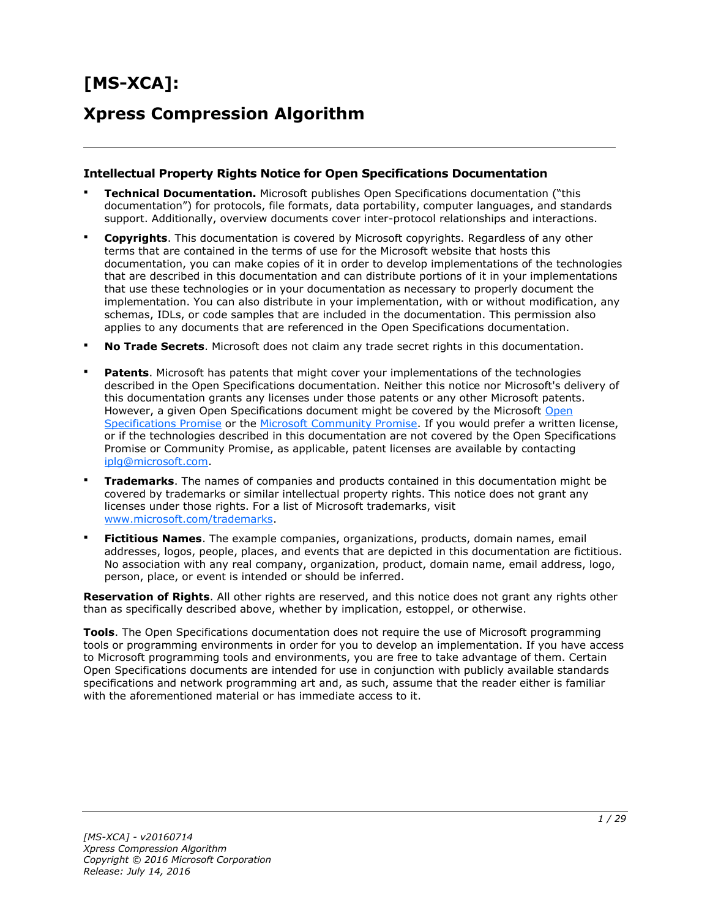# **[MS-XCA]:**

## **Xpress Compression Algorithm**

#### **Intellectual Property Rights Notice for Open Specifications Documentation**

- **Technical Documentation.** Microsoft publishes Open Specifications documentation ("this documentation") for protocols, file formats, data portability, computer languages, and standards support. Additionally, overview documents cover inter-protocol relationships and interactions.
- **Copyrights**. This documentation is covered by Microsoft copyrights. Regardless of any other terms that are contained in the terms of use for the Microsoft website that hosts this documentation, you can make copies of it in order to develop implementations of the technologies that are described in this documentation and can distribute portions of it in your implementations that use these technologies or in your documentation as necessary to properly document the implementation. You can also distribute in your implementation, with or without modification, any schemas, IDLs, or code samples that are included in the documentation. This permission also applies to any documents that are referenced in the Open Specifications documentation.
- **No Trade Secrets**. Microsoft does not claim any trade secret rights in this documentation.
- **Patents**. Microsoft has patents that might cover your implementations of the technologies described in the Open Specifications documentation. Neither this notice nor Microsoft's delivery of this documentation grants any licenses under those patents or any other Microsoft patents. However, a given [Open](http://go.microsoft.com/fwlink/?LinkId=214445) Specifications document might be covered by the Microsoft Open [Specifications Promise](http://go.microsoft.com/fwlink/?LinkId=214445) or the [Microsoft Community Promise.](http://go.microsoft.com/fwlink/?LinkId=214448) If you would prefer a written license, or if the technologies described in this documentation are not covered by the Open Specifications Promise or Community Promise, as applicable, patent licenses are available by contacting [iplg@microsoft.com.](mailto:iplg@microsoft.com)
- **Trademarks**. The names of companies and products contained in this documentation might be covered by trademarks or similar intellectual property rights. This notice does not grant any licenses under those rights. For a list of Microsoft trademarks, visit [www.microsoft.com/trademarks.](http://www.microsoft.com/trademarks)
- **Fictitious Names**. The example companies, organizations, products, domain names, email addresses, logos, people, places, and events that are depicted in this documentation are fictitious. No association with any real company, organization, product, domain name, email address, logo, person, place, or event is intended or should be inferred.

**Reservation of Rights**. All other rights are reserved, and this notice does not grant any rights other than as specifically described above, whether by implication, estoppel, or otherwise.

**Tools**. The Open Specifications documentation does not require the use of Microsoft programming tools or programming environments in order for you to develop an implementation. If you have access to Microsoft programming tools and environments, you are free to take advantage of them. Certain Open Specifications documents are intended for use in conjunction with publicly available standards specifications and network programming art and, as such, assume that the reader either is familiar with the aforementioned material or has immediate access to it.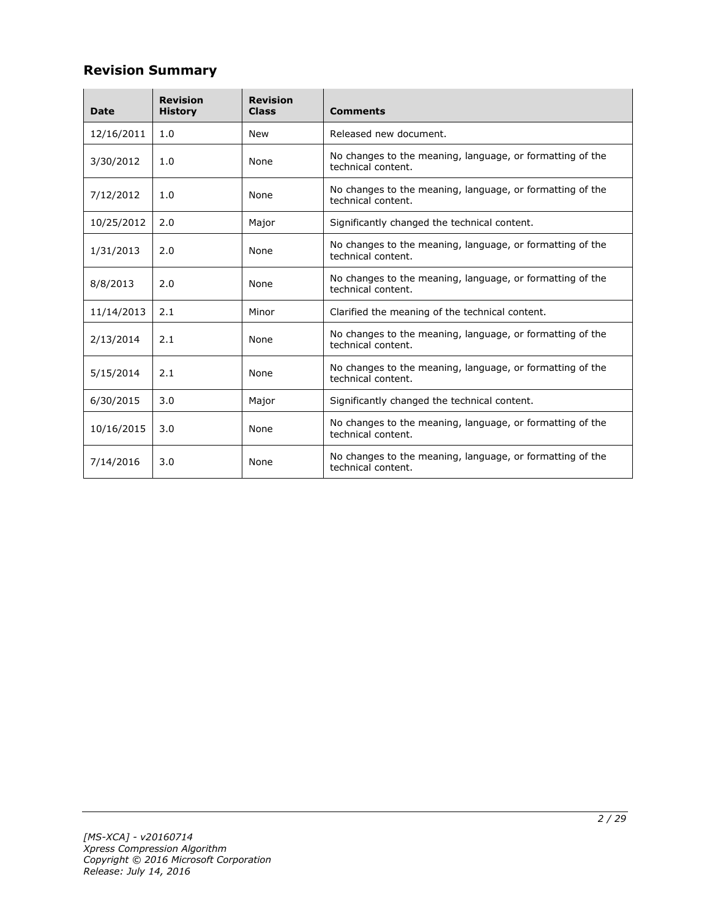## **Revision Summary**

| <b>Date</b> | <b>Revision</b><br><b>History</b>                                                              | <b>Revision</b><br><b>Class</b> | <b>Comments</b>                                                                 |  |
|-------------|------------------------------------------------------------------------------------------------|---------------------------------|---------------------------------------------------------------------------------|--|
| 12/16/2011  | 1.0                                                                                            | <b>New</b>                      | Released new document.                                                          |  |
| 3/30/2012   | 1.0                                                                                            | None                            | No changes to the meaning, language, or formatting of the<br>technical content. |  |
| 7/12/2012   | 1.0                                                                                            | None                            | No changes to the meaning, language, or formatting of the<br>technical content. |  |
| 10/25/2012  | 2.0                                                                                            | Major                           | Significantly changed the technical content.                                    |  |
| 1/31/2013   | No changes to the meaning, language, or formatting of the<br>2.0<br>None<br>technical content. |                                 |                                                                                 |  |
| 8/8/2013    | 2.0                                                                                            | None                            | No changes to the meaning, language, or formatting of the<br>technical content. |  |
| 11/14/2013  | 2.1                                                                                            | Minor                           | Clarified the meaning of the technical content.                                 |  |
| 2/13/2014   | 2.1                                                                                            | None                            | No changes to the meaning, language, or formatting of the<br>technical content. |  |
| 5/15/2014   | 2.1                                                                                            | None                            | No changes to the meaning, language, or formatting of the<br>technical content. |  |
| 6/30/2015   | 3.0                                                                                            | Major                           | Significantly changed the technical content.                                    |  |
| 10/16/2015  | 3.0                                                                                            | None                            | No changes to the meaning, language, or formatting of the<br>technical content. |  |
| 7/14/2016   | 3.0                                                                                            | None                            | No changes to the meaning, language, or formatting of the<br>technical content. |  |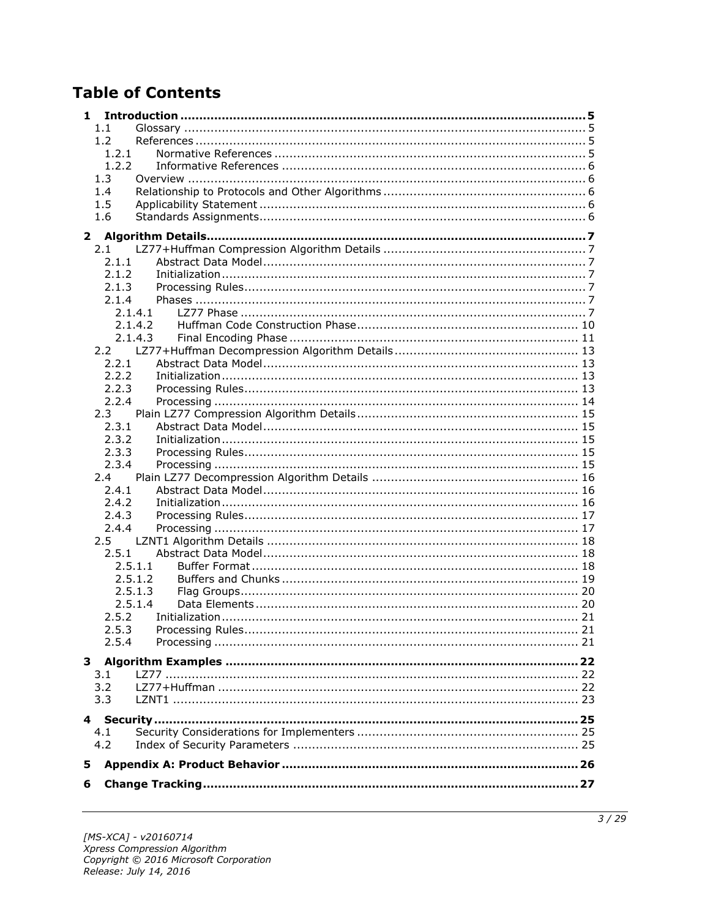## **Table of Contents**

| 1            |                |                    |  |
|--------------|----------------|--------------------|--|
|              | 1.1            |                    |  |
|              | 1.2            |                    |  |
|              | 1.2.1          |                    |  |
|              | 1.2.2          |                    |  |
|              | 1.3            |                    |  |
|              | 1.4            |                    |  |
|              | 1.5            |                    |  |
|              | 1.6            |                    |  |
| $\mathbf{2}$ |                |                    |  |
|              | 2.1            |                    |  |
|              | 2.1.1          |                    |  |
|              | 2.1.2          |                    |  |
|              | 2.1.3          |                    |  |
|              | 2.1.4          |                    |  |
|              |                | 2.1.4.1            |  |
|              |                | 2.1.4.2            |  |
|              |                | 2.1.4.3            |  |
|              |                |                    |  |
|              | 2.2.1          |                    |  |
|              | 2.2.2          |                    |  |
|              | 2.2.3          |                    |  |
|              | 2.2.4          |                    |  |
|              | 2.3            |                    |  |
|              | 2.3.1          |                    |  |
|              | 2.3.2          |                    |  |
|              | 2.3.3          |                    |  |
|              | 2.3.4          |                    |  |
|              | 2.4            |                    |  |
|              |                |                    |  |
|              | 2.4.1<br>2.4.2 |                    |  |
|              |                |                    |  |
|              | 2.4.3<br>2.4.4 |                    |  |
|              |                |                    |  |
|              | $2.5^{\circ}$  |                    |  |
|              | 2.5.1          |                    |  |
|              |                | 2.5.1.1            |  |
|              |                | 2.5.1.2            |  |
|              |                | 2.5.1.3<br>2.5.1.4 |  |
|              | 2.5.2          |                    |  |
|              |                |                    |  |
|              | 2.5.3          |                    |  |
|              | 2.5.4          |                    |  |
|              |                |                    |  |
|              | 3.1            |                    |  |
|              | 3.2            |                    |  |
|              | 3.3            |                    |  |
|              |                |                    |  |
|              |                |                    |  |
|              | 4.1            |                    |  |
|              | 4.2            |                    |  |
| 5            |                |                    |  |
| 6            |                |                    |  |
|              |                |                    |  |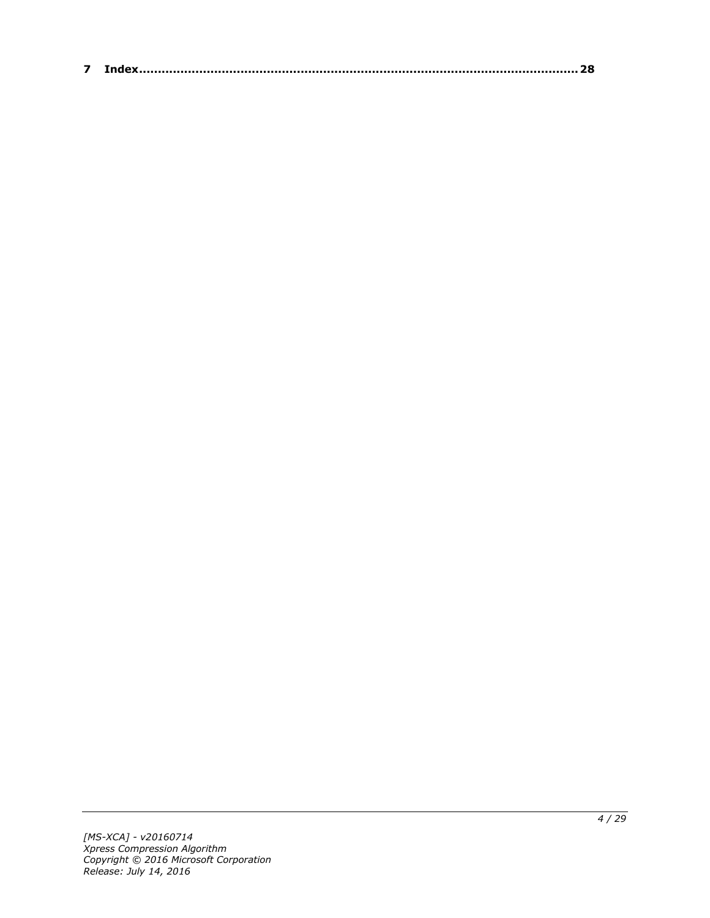| $\sim$ |  |
|--------|--|
|--------|--|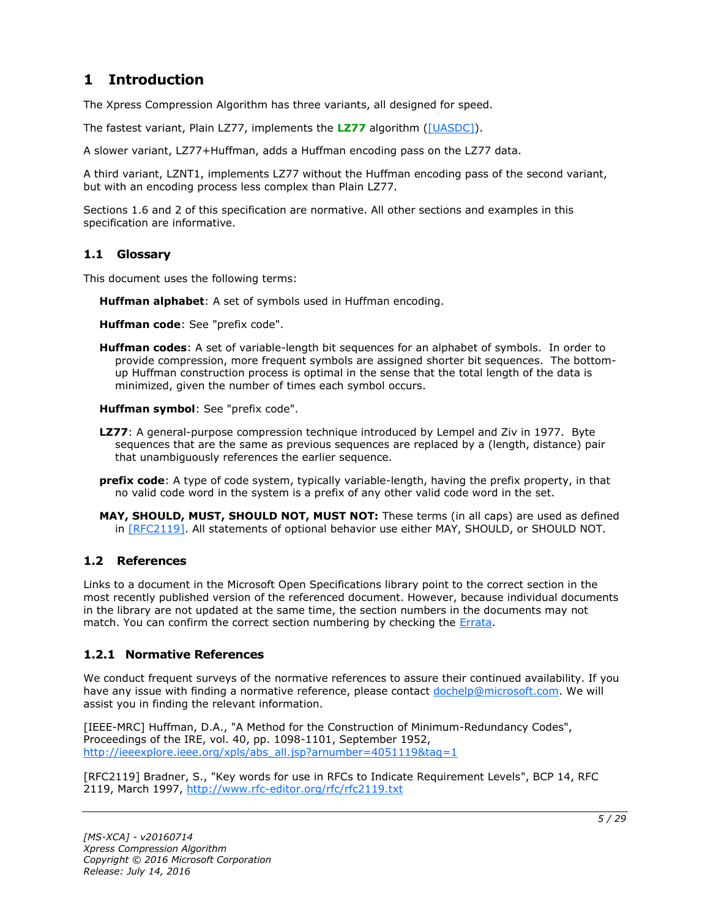## <span id="page-4-0"></span>**1 Introduction**

The Xpress Compression Algorithm has three variants, all designed for speed.

The fastest variant, Plain LZ77, implements the **[LZ77](#page-4-4)** algorithm [\(\[UASDC\]\)](http://go.microsoft.com/fwlink/?LinkId=90549).

A slower variant, LZ77+Huffman, adds a Huffman encoding pass on the LZ77 data.

A third variant, LZNT1, implements LZ77 without the Huffman encoding pass of the second variant, but with an encoding process less complex than Plain LZ77.

Sections 1.6 and 2 of this specification are normative. All other sections and examples in this specification are informative.

#### <span id="page-4-1"></span>**1.1 Glossary**

This document uses the following terms:

<span id="page-4-7"></span>**Huffman alphabet**: A set of symbols used in Huffman encoding.

<span id="page-4-8"></span>**Huffman code**: See "prefix code".

<span id="page-4-6"></span>**Huffman codes**: A set of variable-length bit sequences for an alphabet of symbols. In order to provide compression, more frequent symbols are assigned shorter bit sequences. The bottomup Huffman construction process is optimal in the sense that the total length of the data is minimized, given the number of times each symbol occurs.

<span id="page-4-9"></span>**Huffman symbol**: See "prefix code".

- <span id="page-4-4"></span>**LZ77**: A general-purpose compression technique introduced by Lempel and Ziv in 1977. Byte sequences that are the same as previous sequences are replaced by a (length, distance) pair that unambiguously references the earlier sequence.
- <span id="page-4-5"></span>**prefix code**: A type of code system, typically variable-length, having the prefix property, in that no valid code word in the system is a prefix of any other valid code word in the set.
- **MAY, SHOULD, MUST, SHOULD NOT, MUST NOT:** These terms (in all caps) are used as defined in [\[RFC2119\].](http://go.microsoft.com/fwlink/?LinkId=90317) All statements of optional behavior use either MAY, SHOULD, or SHOULD NOT.

## <span id="page-4-2"></span>**1.2 References**

Links to a document in the Microsoft Open Specifications library point to the correct section in the most recently published version of the referenced document. However, because individual documents in the library are not updated at the same time, the section numbers in the documents may not match. You can confirm the correct section numbering by checking the [Errata.](http://msdn.microsoft.com/en-us/library/dn781092.aspx)

## <span id="page-4-3"></span>**1.2.1 Normative References**

We conduct frequent surveys of the normative references to assure their continued availability. If you have any issue with finding a normative reference, please contact [dochelp@microsoft.com.](mailto:dochelp@microsoft.com) We will assist you in finding the relevant information.

[IEEE-MRC] Huffman, D.A., "A Method for the Construction of Minimum-Redundancy Codes", Proceedings of the IRE, vol. 40, pp. 1098-1101, September 1952, [http://ieeexplore.ieee.org/xpls/abs\\_all.jsp?arnumber=4051119&tag=1](http://go.microsoft.com/fwlink/?LinkId=227659)

[RFC2119] Bradner, S., "Key words for use in RFCs to Indicate Requirement Levels", BCP 14, RFC 2119, March 1997, [http://www.rfc-editor.org/rfc/rfc2119.txt](http://go.microsoft.com/fwlink/?LinkId=90317)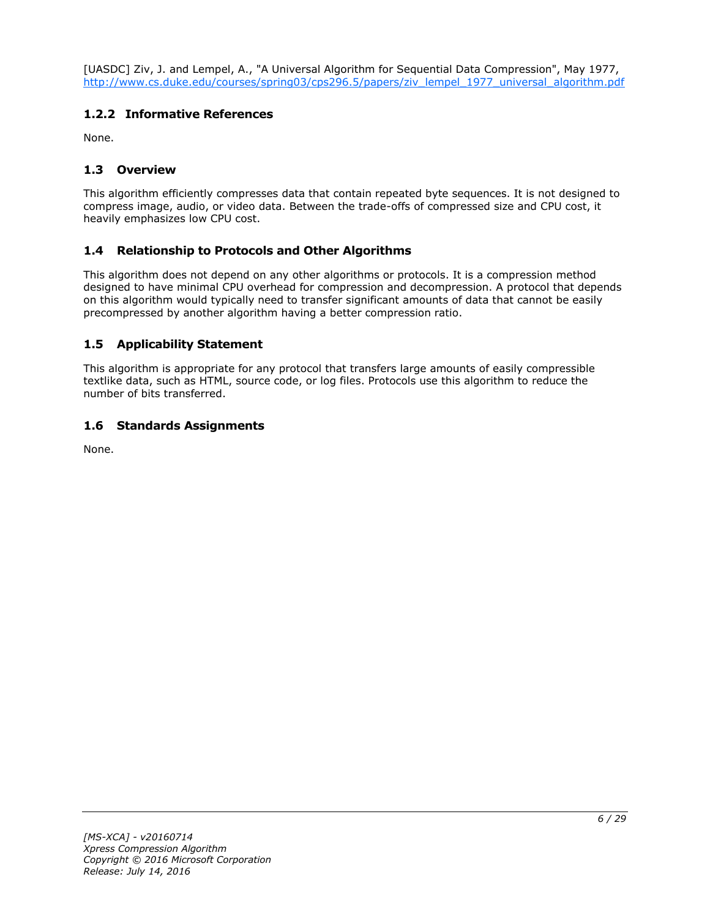[UASDC] Ziv, J. and Lempel, A., "A Universal Algorithm for Sequential Data Compression", May 1977, [http://www.cs.duke.edu/courses/spring03/cps296.5/papers/ziv\\_lempel\\_1977\\_universal\\_algorithm.pdf](http://go.microsoft.com/fwlink/?LinkId=90549)

## <span id="page-5-0"></span>**1.2.2 Informative References**

None.

## <span id="page-5-1"></span>**1.3 Overview**

This algorithm efficiently compresses data that contain repeated byte sequences. It is not designed to compress image, audio, or video data. Between the trade-offs of compressed size and CPU cost, it heavily emphasizes low CPU cost.

## <span id="page-5-2"></span>**1.4 Relationship to Protocols and Other Algorithms**

This algorithm does not depend on any other algorithms or protocols. It is a compression method designed to have minimal CPU overhead for compression and decompression. A protocol that depends on this algorithm would typically need to transfer significant amounts of data that cannot be easily precompressed by another algorithm having a better compression ratio.

## <span id="page-5-3"></span>**1.5 Applicability Statement**

This algorithm is appropriate for any protocol that transfers large amounts of easily compressible textlike data, such as HTML, source code, or log files. Protocols use this algorithm to reduce the number of bits transferred.

## <span id="page-5-4"></span>**1.6 Standards Assignments**

None.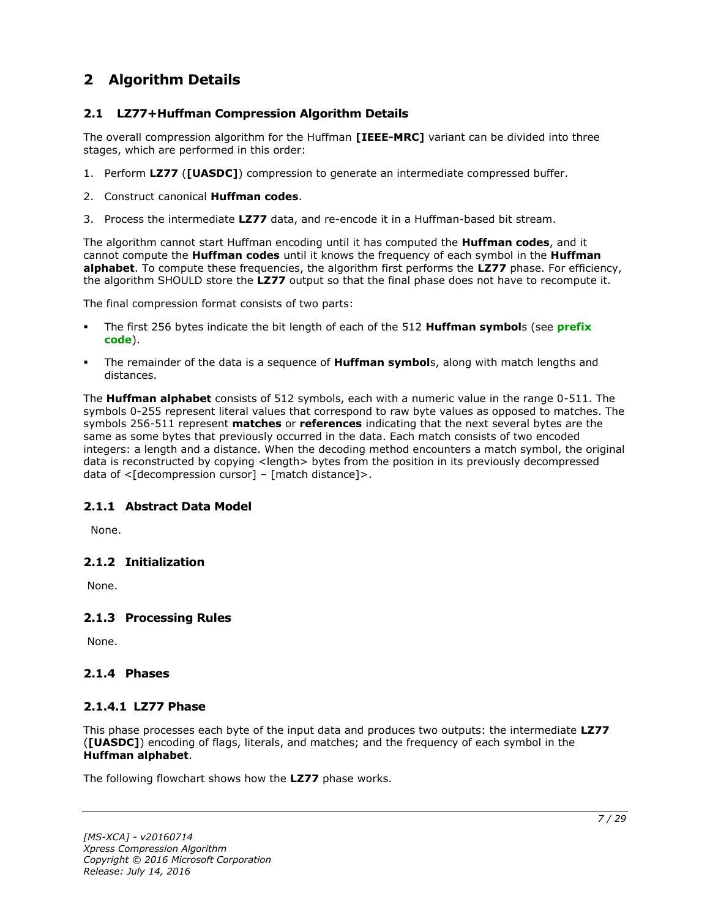## <span id="page-6-0"></span>**2 Algorithm Details**

## <span id="page-6-1"></span>**2.1 LZ77+Huffman Compression Algorithm Details**

The overall compression algorithm for the Huffman **[IEEE-MRC]** variant can be divided into three stages, which are performed in this order:

- 1. Perform **LZ77** (**[UASDC]**) compression to generate an intermediate compressed buffer.
- 2. Construct canonical **Huffman codes**.
- 3. Process the intermediate **LZ77** data, and re-encode it in a Huffman-based bit stream.

The algorithm cannot start Huffman encoding until it has computed the **Huffman codes**, and it cannot compute the **Huffman codes** until it knows the frequency of each symbol in the **Huffman alphabet**. To compute these frequencies, the algorithm first performs the **LZ77** phase. For efficiency, the algorithm SHOULD store the **LZ77** output so that the final phase does not have to recompute it.

The final compression format consists of two parts:

- The first 256 bytes indicate the bit length of each of the 512 **Huffman symbol**s (see **[prefix](#page-4-5)  [code](#page-4-5)**).
- The remainder of the data is a sequence of **Huffman symbol**s, along with match lengths and distances.

The **Huffman alphabet** consists of 512 symbols, each with a numeric value in the range 0-511. The symbols 0-255 represent literal values that correspond to raw byte values as opposed to matches. The symbols 256-511 represent **matches** or **references** indicating that the next several bytes are the same as some bytes that previously occurred in the data. Each match consists of two encoded integers: a length and a distance. When the decoding method encounters a match symbol, the original data is reconstructed by copying <length> bytes from the position in its previously decompressed data of  $\leq$ [decompression cursor] – [match distance]>.

## <span id="page-6-2"></span>**2.1.1 Abstract Data Model**

None.

## <span id="page-6-3"></span>**2.1.2 Initialization**

None.

## <span id="page-6-4"></span>**2.1.3 Processing Rules**

None.

#### <span id="page-6-5"></span>**2.1.4 Phases**

#### <span id="page-6-6"></span>**2.1.4.1 LZ77 Phase**

This phase processes each byte of the input data and produces two outputs: the intermediate **LZ77** (**[UASDC]**) encoding of flags, literals, and matches; and the frequency of each symbol in the **Huffman alphabet**.

The following flowchart shows how the **LZ77** phase works.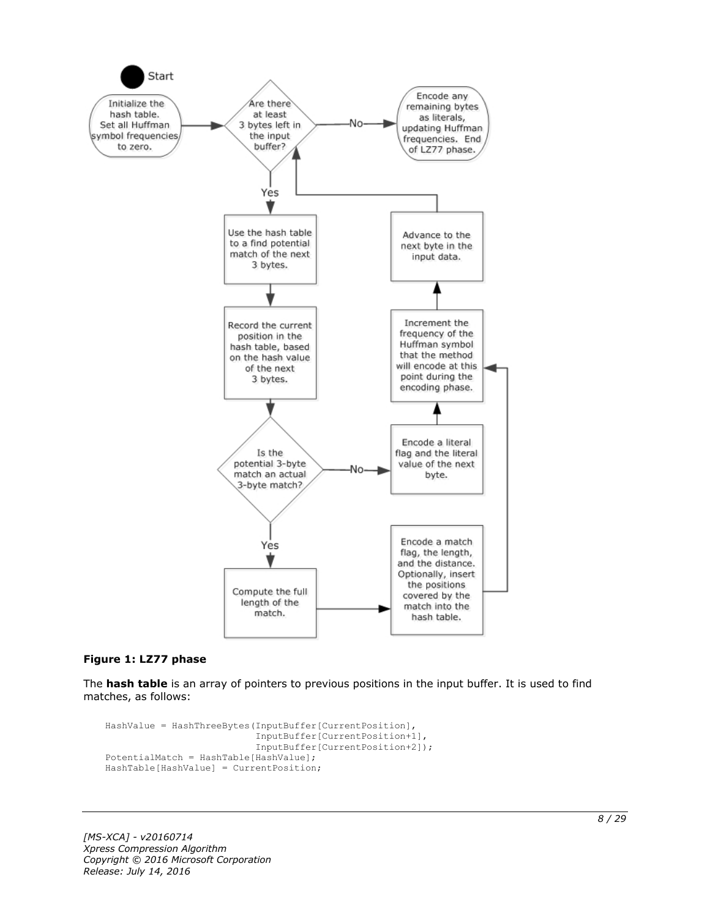

#### **Figure 1: LZ77 phase**

The **hash table** is an array of pointers to previous positions in the input buffer. It is used to find matches, as follows:

```
HashValue = HashThreeBytes(InputBuffer[CurrentPosition],
                            InputBuffer[CurrentPosition+1],
                           InputBuffer[CurrentPosition+2]);
PotentialMatch = HashTable[HashValue];
HashTable[HashValue] = CurrentPosition;
```
*[MS-XCA] - v20160714 Xpress Compression Algorithm Copyright © 2016 Microsoft Corporation Release: July 14, 2016*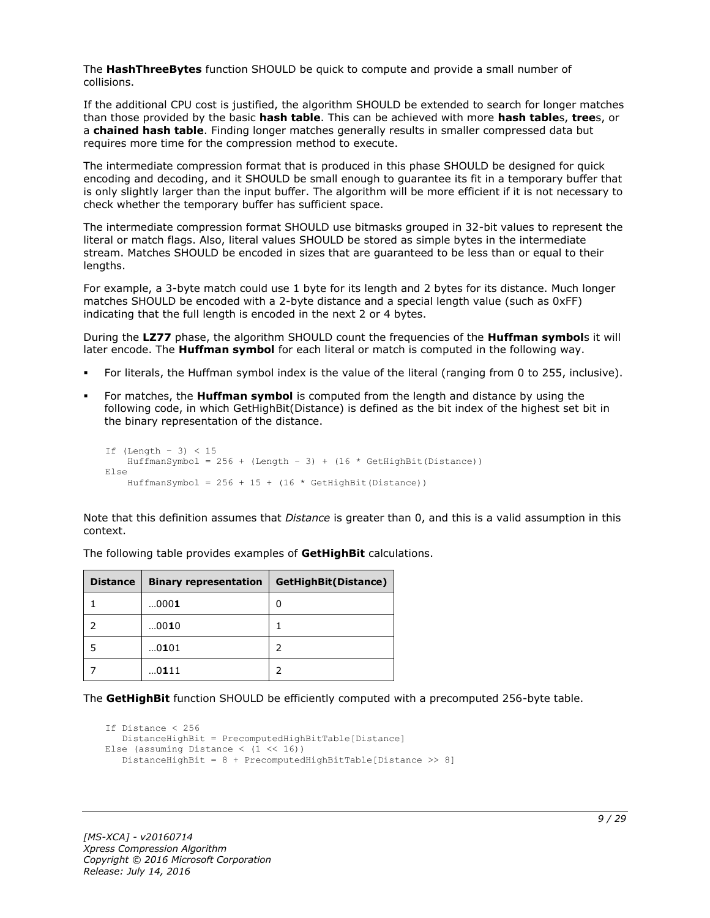The **HashThreeBytes** function SHOULD be quick to compute and provide a small number of collisions.

If the additional CPU cost is justified, the algorithm SHOULD be extended to search for longer matches than those provided by the basic **hash table**. This can be achieved with more **hash table**s, **tree**s, or a **chained hash table**. Finding longer matches generally results in smaller compressed data but requires more time for the compression method to execute.

The intermediate compression format that is produced in this phase SHOULD be designed for quick encoding and decoding, and it SHOULD be small enough to guarantee its fit in a temporary buffer that is only slightly larger than the input buffer. The algorithm will be more efficient if it is not necessary to check whether the temporary buffer has sufficient space.

The intermediate compression format SHOULD use bitmasks grouped in 32-bit values to represent the literal or match flags. Also, literal values SHOULD be stored as simple bytes in the intermediate stream. Matches SHOULD be encoded in sizes that are guaranteed to be less than or equal to their lengths.

For example, a 3-byte match could use 1 byte for its length and 2 bytes for its distance. Much longer matches SHOULD be encoded with a 2-byte distance and a special length value (such as 0xFF) indicating that the full length is encoded in the next 2 or 4 bytes.

During the **LZ77** phase, the algorithm SHOULD count the frequencies of the **Huffman symbol**s it will later encode. The **Huffman symbol** for each literal or match is computed in the following way.

- For literals, the Huffman symbol index is the value of the literal (ranging from 0 to 255, inclusive).
- For matches, the **Huffman symbol** is computed from the length and distance by using the following code, in which GetHighBit(Distance) is defined as the bit index of the highest set bit in the binary representation of the distance.

```
If (Lenqth - 3) < 15HuffmanSymbol = 256 + (Length - 3) + (16 * GetHighBit(Distance))Else
    HuffmanSymbol = 256 + 15 + (16 * \text{GetHighBit}(\text{Distance}))
```
Note that this definition assumes that *Distance* is greater than 0, and this is a valid assumption in this context.

| <b>Distance</b> | <b>Binary representation</b> | GetHighBit(Distance) |
|-----------------|------------------------------|----------------------|
|                 | 0001                         | 0                    |
|                 | 0010                         |                      |
| 5               | 0101                         |                      |
|                 | 0111                         |                      |

The following table provides examples of **GetHighBit** calculations.

The **GetHighBit** function SHOULD be efficiently computed with a precomputed 256-byte table.

```
If Distance < 256
    DistanceHighBit = PrecomputedHighBitTable[Distance]
Else (assuming Distance \langle (1 \langle 16))
    DistanceHighBit = 8 + PrecomputedHighBitTable[Distance >> 8]
```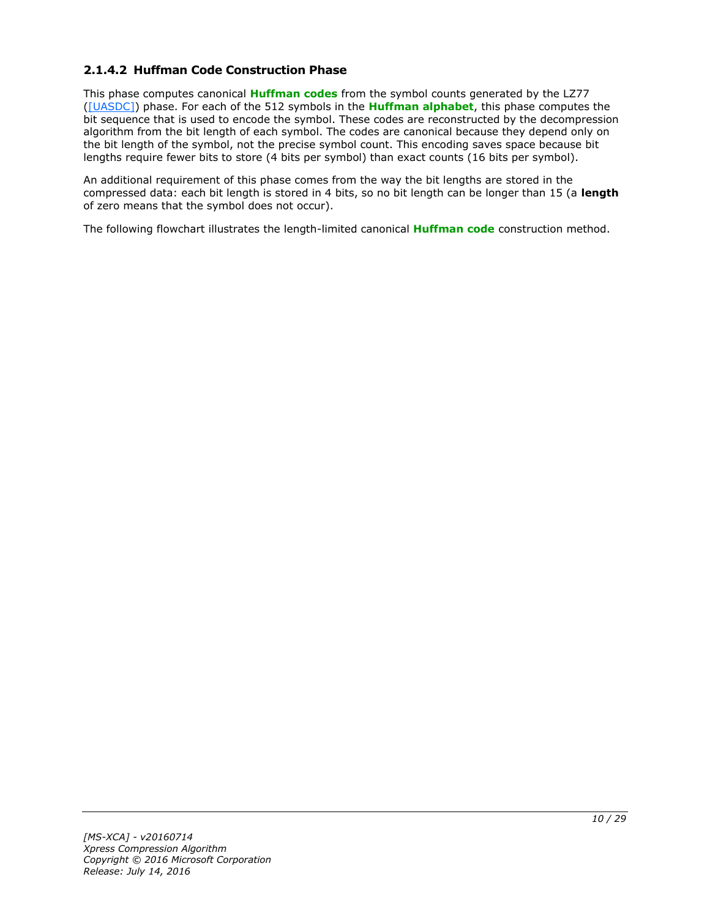## <span id="page-9-0"></span>**2.1.4.2 Huffman Code Construction Phase**

This phase computes canonical **[Huffman codes](#page-4-6)** from the symbol counts generated by the LZ77 [\(\[UASDC\]\)](http://go.microsoft.com/fwlink/?LinkId=90549) phase. For each of the 512 symbols in the **[Huffman alphabet](#page-4-7)**, this phase computes the bit sequence that is used to encode the symbol. These codes are reconstructed by the decompression algorithm from the bit length of each symbol. The codes are canonical because they depend only on the bit length of the symbol, not the precise symbol count. This encoding saves space because bit lengths require fewer bits to store (4 bits per symbol) than exact counts (16 bits per symbol).

An additional requirement of this phase comes from the way the bit lengths are stored in the compressed data: each bit length is stored in 4 bits, so no bit length can be longer than 15 (a **length** of zero means that the symbol does not occur).

The following flowchart illustrates the length-limited canonical **[Huffman code](#page-4-8)** construction method.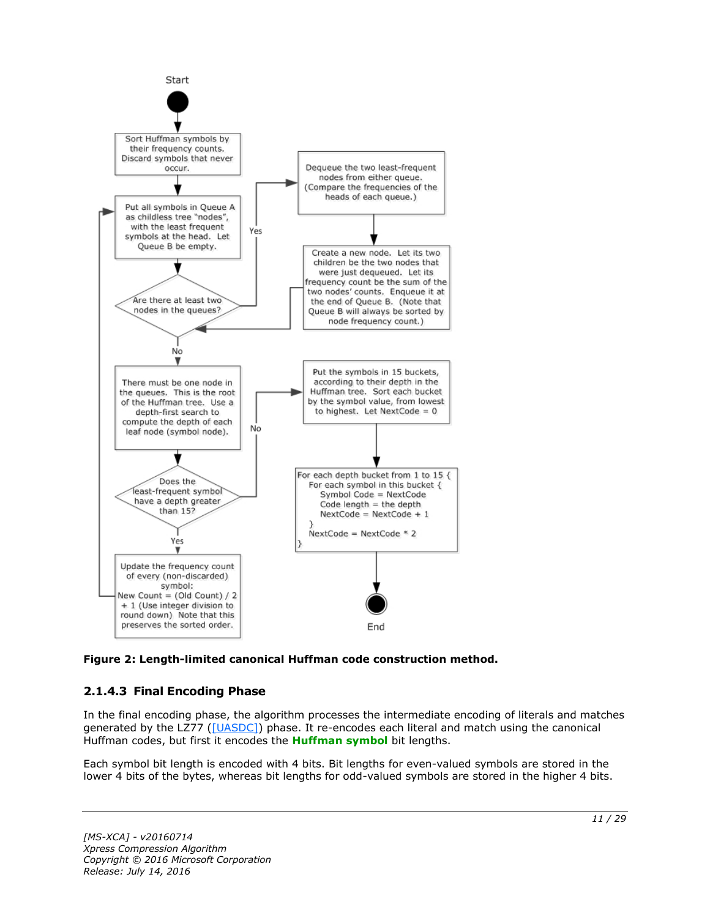

**Figure 2: Length-limited canonical Huffman code construction method.**

## <span id="page-10-0"></span>**2.1.4.3 Final Encoding Phase**

In the final encoding phase, the algorithm processes the intermediate encoding of literals and matches generated by the LZ77 [\(\[UASDC\]\)](http://go.microsoft.com/fwlink/?LinkId=90549) phase. It re-encodes each literal and match using the canonical Huffman codes, but first it encodes the **[Huffman symbol](#page-4-9)** bit lengths.

Each symbol bit length is encoded with 4 bits. Bit lengths for even-valued symbols are stored in the lower 4 bits of the bytes, whereas bit lengths for odd-valued symbols are stored in the higher 4 bits.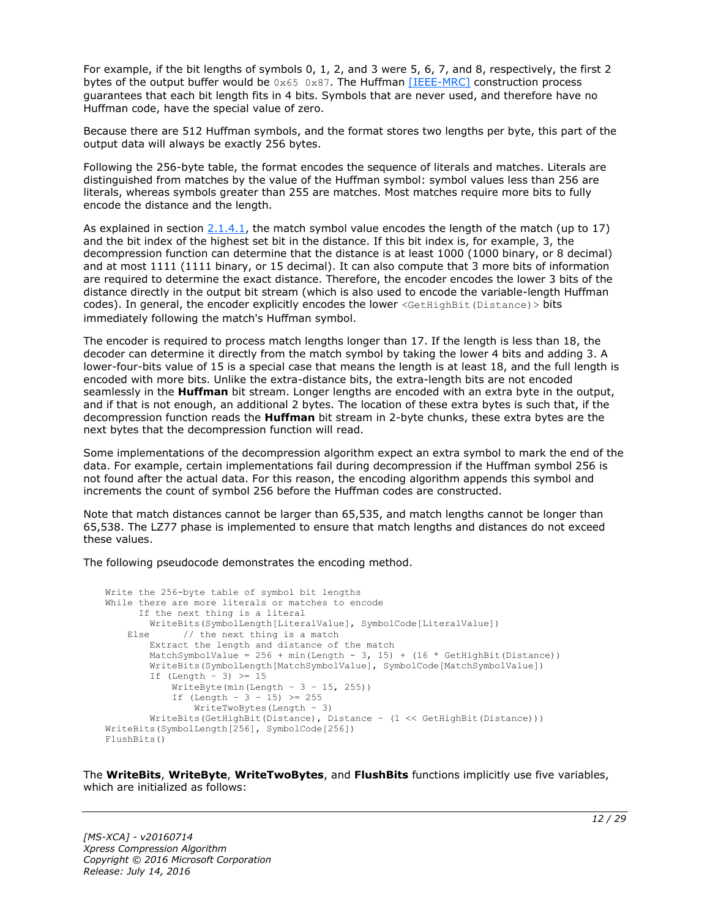For example, if the bit lengths of symbols 0, 1, 2, and 3 were 5, 6, 7, and 8, respectively, the first 2 bytes of the output buffer would be  $0 \times 65$  0x87. The Huffman [\[IEEE-MRC\]](http://go.microsoft.com/fwlink/?LinkId=227659) construction process guarantees that each bit length fits in 4 bits. Symbols that are never used, and therefore have no Huffman code, have the special value of zero.

Because there are 512 Huffman symbols, and the format stores two lengths per byte, this part of the output data will always be exactly 256 bytes.

Following the 256-byte table, the format encodes the sequence of literals and matches. Literals are distinguished from matches by the value of the Huffman symbol: symbol values less than 256 are literals, whereas symbols greater than 255 are matches. Most matches require more bits to fully encode the distance and the length.

As explained in section  $2.1.4.1$ , the match symbol value encodes the length of the match (up to 17) and the bit index of the highest set bit in the distance. If this bit index is, for example, 3, the decompression function can determine that the distance is at least 1000 (1000 binary, or 8 decimal) and at most 1111 (1111 binary, or 15 decimal). It can also compute that 3 more bits of information are required to determine the exact distance. Therefore, the encoder encodes the lower 3 bits of the distance directly in the output bit stream (which is also used to encode the variable-length Huffman codes). In general, the encoder explicitly encodes the lower <GetHighBit(Distance) > bits immediately following the match's Huffman symbol.

The encoder is required to process match lengths longer than 17. If the length is less than 18, the decoder can determine it directly from the match symbol by taking the lower 4 bits and adding 3. A lower-four-bits value of 15 is a special case that means the length is at least 18, and the full length is encoded with more bits. Unlike the extra-distance bits, the extra-length bits are not encoded seamlessly in the **Huffman** bit stream. Longer lengths are encoded with an extra byte in the output, and if that is not enough, an additional 2 bytes. The location of these extra bytes is such that, if the decompression function reads the **Huffman** bit stream in 2-byte chunks, these extra bytes are the next bytes that the decompression function will read.

Some implementations of the decompression algorithm expect an extra symbol to mark the end of the data. For example, certain implementations fail during decompression if the Huffman symbol 256 is not found after the actual data. For this reason, the encoding algorithm appends this symbol and increments the count of symbol 256 before the Huffman codes are constructed.

Note that match distances cannot be larger than 65,535, and match lengths cannot be longer than 65,538. The LZ77 phase is implemented to ensure that match lengths and distances do not exceed these values.

The following pseudocode demonstrates the encoding method.

```
Write the 256-byte table of symbol bit lengths
While there are more literals or matches to encode
       If the next thing is a literal
         WriteBits(SymbolLength[LiteralValue], SymbolCode[LiteralValue])
   Else // the next thing is a match
         Extract the length and distance of the match
        MatchSymbolValue = 256 + min(Length - 3, 15) + (16 * GetHighBit(Distance))
         WriteBits(SymbolLength[MatchSymbolValue], SymbolCode[MatchSymbolValue])
        If (Length - 3) \geq 15
            WriteByte(min(Length - 3 - 15, 255))
           If (Length - 3 - 15) >= 255
                WriteTwoBytes(Length – 3)
         WriteBits(GetHighBit(Distance), Distance – (1 << GetHighBit(Distance)))
WriteBits(SymbolLength[256], SymbolCode[256])
FlushBits()
```
The **WriteBits**, **WriteByte**, **WriteTwoBytes**, and **FlushBits** functions implicitly use five variables, which are initialized as follows: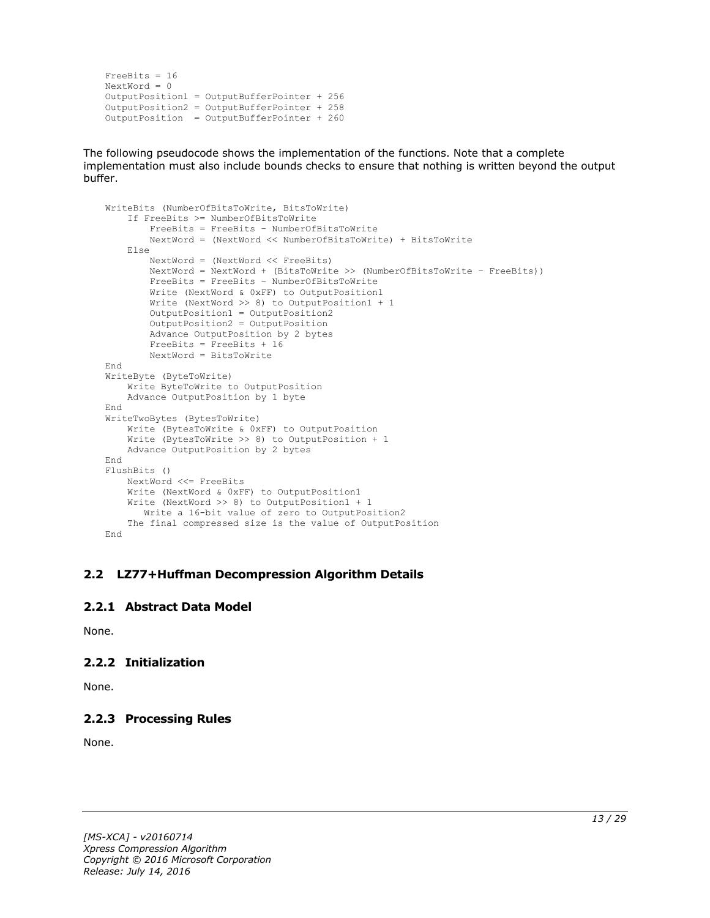```
FreeBits = 16
NextWord = 0
OutputPosition1 = OutputBufferPointer + 256
OutputPosition2 = OutputBufferPointer + 258 
OutputPosition = OutputBufferPointer + 260
```
The following pseudocode shows the implementation of the functions. Note that a complete implementation must also include bounds checks to ensure that nothing is written beyond the output buffer.

```
WriteBits (NumberOfBitsToWrite, BitsToWrite)
     If FreeBits >= NumberOfBitsToWrite
         FreeBits = FreeBits – NumberOfBitsToWrite
         NextWord = (NextWord << NumberOfBitsToWrite) + BitsToWrite
     Else
         NextWord = (NextWord << FreeBits)
         NextWord = NextWord + (BitsToWrite >> (NumberOfBitsToWrite – FreeBits))
         FreeBits = FreeBits – NumberOfBitsToWrite
         Write (NextWord & 0xFF) to OutputPosition1
         Write (NextWord >> 8) to OutputPosition1 + 1
         OutputPosition1 = OutputPosition2
         OutputPosition2 = OutputPosition
         Advance OutputPosition by 2 bytes
         FreeBits = FreeBits + 16
         NextWord = BitsToWrite
End
WriteByte (ByteToWrite)
    Write ByteToWrite to OutputPosition
     Advance OutputPosition by 1 byte
End
WriteTwoBytes (BytesToWrite)
     Write (BytesToWrite & 0xFF) to OutputPosition
     Write (BytesToWrite >> 8) to OutputPosition + 1
    Advance OutputPosition by 2 bytes
End
FlushBits ()
     NextWord <<= FreeBits
     Write (NextWord & 0xFF) to OutputPosition1
     Write (NextWord >> 8) to OutputPosition1 + 1
       Write a 16-bit value of zero to OutputPosition2
     The final compressed size is the value of OutputPosition
End
```
#### <span id="page-12-0"></span>**2.2 LZ77+Huffman Decompression Algorithm Details**

#### <span id="page-12-1"></span>**2.2.1 Abstract Data Model**

None.

## <span id="page-12-2"></span>**2.2.2 Initialization**

None.

## <span id="page-12-3"></span>**2.2.3 Processing Rules**

None.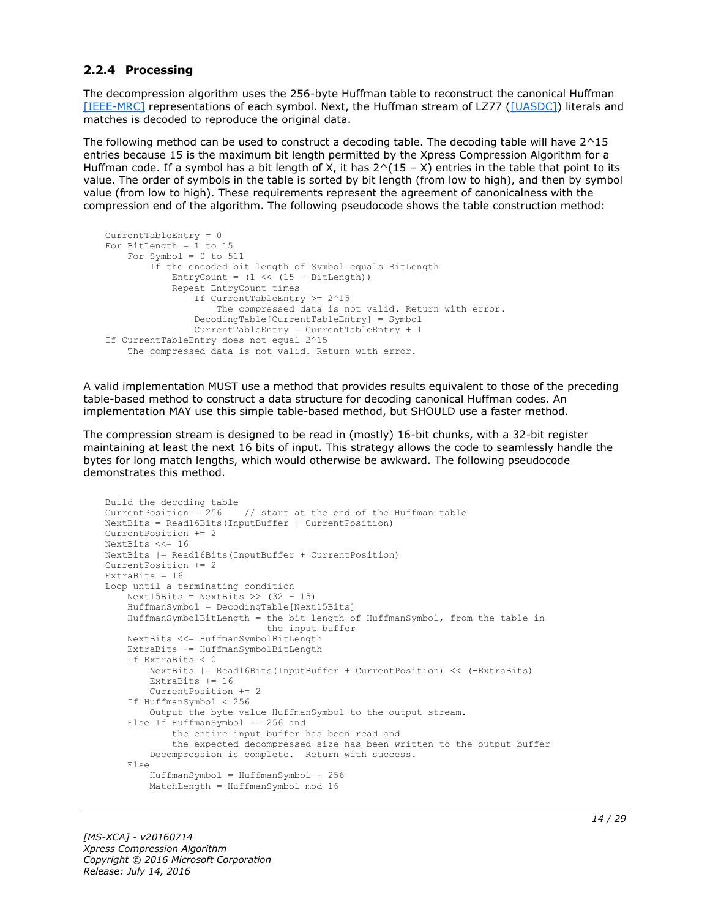#### <span id="page-13-0"></span>**2.2.4 Processing**

The decompression algorithm uses the 256-byte Huffman table to reconstruct the canonical Huffman [\[IEEE-MRC\]](http://go.microsoft.com/fwlink/?LinkId=227659) representations of each symbol. Next, the Huffman stream of LZ77 [\(\[UASDC\]\)](http://go.microsoft.com/fwlink/?LinkId=90549) literals and matches is decoded to reproduce the original data.

The following method can be used to construct a decoding table. The decoding table will have 2^15 entries because 15 is the maximum bit length permitted by the Xpress Compression Algorithm for a Huffman code. If a symbol has a bit length of X, it has  $2^(15 - X)$  entries in the table that point to its value. The order of symbols in the table is sorted by bit length (from low to high), and then by symbol value (from low to high). These requirements represent the agreement of canonicalness with the compression end of the algorithm. The following pseudocode shows the table construction method:

```
CurrentTableEntry = 0
For BitLength = 1 to 15
   For Symbol = 0 to 511
         If the encoded bit length of Symbol equals BitLength
            EntryCount = (1 \leq \leq 15 - \text{BitLength}) Repeat EntryCount times
                 If CurrentTableEntry >= 2^15
                     The compressed data is not valid. Return with error.
                 DecodingTable[CurrentTableEntry] = Symbol
                 CurrentTableEntry = CurrentTableEntry + 1
If CurrentTableEntry does not equal 2^15
     The compressed data is not valid. Return with error.
```
A valid implementation MUST use a method that provides results equivalent to those of the preceding table-based method to construct a data structure for decoding canonical Huffman codes. An implementation MAY use this simple table-based method, but SHOULD use a faster method.

The compression stream is designed to be read in (mostly) 16-bit chunks, with a 32-bit register maintaining at least the next 16 bits of input. This strategy allows the code to seamlessly handle the bytes for long match lengths, which would otherwise be awkward. The following pseudocode demonstrates this method.

```
Build the decoding table
CurrentPosition = 256 // start at the end of the Huffman table
NextBits = Read16Bits(InputBuffer + CurrentPosition)
CurrentPosition += 2
NextBits <<= 16
NextBits |= Read16Bits(InputBuffer + CurrentPosition)
CurrentPosition += 2
ExtraBits = 16
Loop until a terminating condition
    Next15Bits = NextBits \gg (32 - 15)
     HuffmanSymbol = DecodingTable[Next15Bits]
     HuffmanSymbolBitLength = the bit length of HuffmanSymbol, from the table in
                              the input buffer
     NextBits <<= HuffmanSymbolBitLength
     ExtraBits -= HuffmanSymbolBitLength
     If ExtraBits < 0
        NextBits |= Read16Bits(InputBuffer + CurrentPosition) << (-ExtraBits)
         ExtraBits += 16
         CurrentPosition += 2
     If HuffmanSymbol < 256
        Output the byte value HuffmanSymbol to the output stream.
     Else If HuffmanSymbol == 256 and
             the entire input buffer has been read and
             the expected decompressed size has been written to the output buffer
         Decompression is complete. Return with success.
     Else
        HuffmanSumbol = HuffmanSumbol - 256 MatchLength = HuffmanSymbol mod 16
```
*[MS-XCA] - v20160714 Xpress Compression Algorithm Copyright © 2016 Microsoft Corporation Release: July 14, 2016*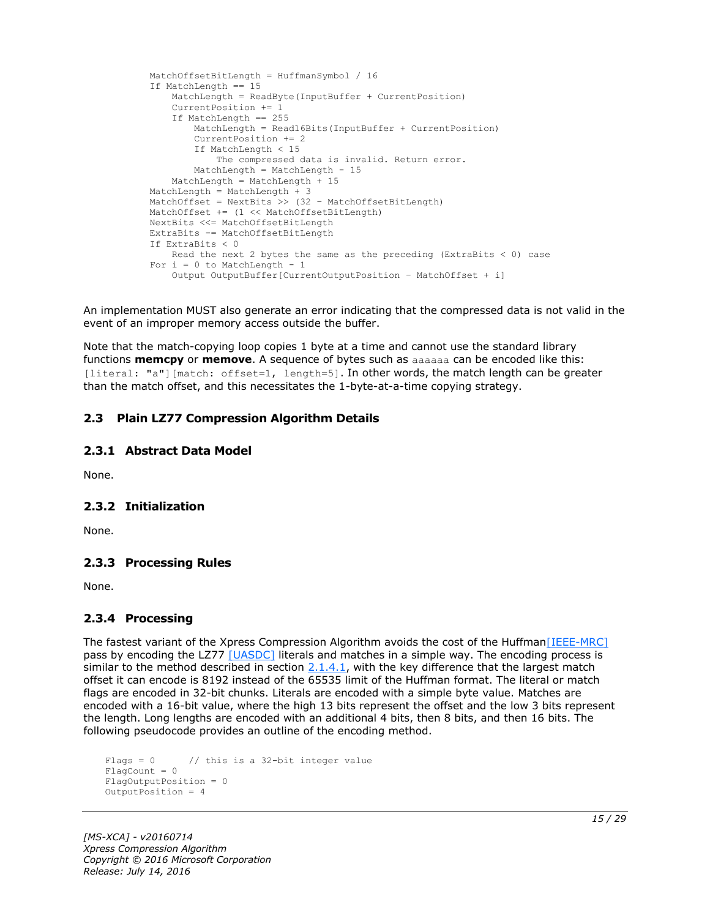```
 MatchOffsetBitLength = HuffmanSymbol / 16
 If MatchLength == 15
    MatchLength = ReadByte(InputBuffer + CurrentPosition)
     CurrentPosition += 1
     If MatchLength == 255
         MatchLength = Read16Bits(InputBuffer + CurrentPosition)
        CurrentPosition += 2
        If MatchLength < 15
            The compressed data is invalid. Return error.
       MatchLength = MatchLength - 15
     MatchLength = MatchLength + 15
MatchLength = MatchLength + 3 MatchOffset = NextBits >> (32 – MatchOffsetBitLength)
 MatchOffset += (1 << MatchOffsetBitLength)
 NextBits <<= MatchOffsetBitLength
 ExtraBits -= MatchOffsetBitLength
 If ExtraBits < 0
   Read the next 2 bytes the same as the preceding (ExtraBits < 0) case
For i = 0 to MatchLength - 1
     Output OutputBuffer[CurrentOutputPosition – MatchOffset + i]
```
An implementation MUST also generate an error indicating that the compressed data is not valid in the event of an improper memory access outside the buffer.

Note that the match-copying loop copies 1 byte at a time and cannot use the standard library functions **memcpy** or **memove**. A sequence of bytes such as aaaaaa can be encoded like this: [literal: "a"][match: offset=1, length=5]. In other words, the match length can be greater than the match offset, and this necessitates the 1-byte-at-a-time copying strategy.

#### <span id="page-14-0"></span>**2.3 Plain LZ77 Compression Algorithm Details**

#### <span id="page-14-1"></span>**2.3.1 Abstract Data Model**

None.

#### <span id="page-14-2"></span>**2.3.2 Initialization**

None.

#### <span id="page-14-3"></span>**2.3.3 Processing Rules**

None.

## <span id="page-14-4"></span>**2.3.4 Processing**

The fastest variant of the Xpress Compression Algorithm avoids the cost of the Huffman [IEEE-MRC] pass by encoding the LZ77 [\[UASDC\]](http://go.microsoft.com/fwlink/?LinkId=90549) literals and matches in a simple way. The encoding process is similar to the method described in section  $2.1.4.1$ , with the key difference that the largest match offset it can encode is 8192 instead of the 65535 limit of the Huffman format. The literal or match flags are encoded in 32-bit chunks. Literals are encoded with a simple byte value. Matches are encoded with a 16-bit value, where the high 13 bits represent the offset and the low 3 bits represent the length. Long lengths are encoded with an additional 4 bits, then 8 bits, and then 16 bits. The following pseudocode provides an outline of the encoding method.

```
Flags = 0 // this is a 32-bit integer value
FlagCount = 0FlagOutputPosition = 0
OutputPosition = 4
```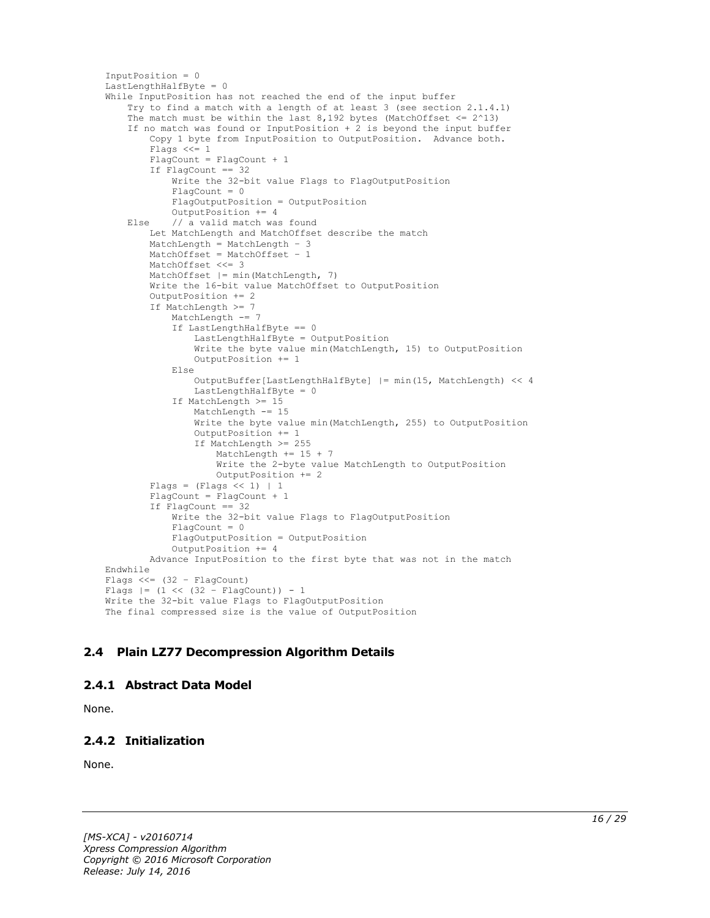```
InputPosition = 0
LastLengthHalfByte = 0
While InputPosition has not reached the end of the input buffer
     Try to find a match with a length of at least 3 (see section 2.1.4.1)
    The match must be within the last 8,192 bytes (MatchOffset \leq 2^13)
     If no match was found or InputPosition + 2 is beyond the input buffer
         Copy 1 byte from InputPosition to OutputPosition. Advance both.
         Flags <<= 1
         FlagCount = FlagCount + 1
         If FlagCount == 32
             Write the 32-bit value Flags to FlagOutputPosition
             FlagCount = 0
             FlagOutputPosition = OutputPosition
             OutputPosition += 4
     Else // a valid match was found
         Let MatchLength and MatchOffset describe the match
         MatchLength = MatchLength – 3
        MatchOffset = MatchOffset - 1 MatchOffset <<= 3
         MatchOffset |= min(MatchLength, 7)
         Write the 16-bit value MatchOffset to OutputPosition
         OutputPosition += 2
         If MatchLength >= 7
            MatchLength -= 7
             If LastLengthHalfByte == 0
                 LastLengthHalfByte = OutputPosition
                 Write the byte value min(MatchLength, 15) to OutputPosition
                OutputPosition += 1
             Else
                 OutputBuffer[LastLengthHalfByte] |= min(15, MatchLength) << 4
                 LastLengthHalfByte = 0
             If MatchLength >= 15
                 MatchLength -= 15
                 Write the byte value min(MatchLength, 255) to OutputPosition
                OutputPosition += 1
                 If MatchLength >= 255
                     MatchLength += 15 + 7
                     Write the 2-byte value MatchLength to OutputPosition
                     OutputPosition += 2
        Flags = (Flags << 1) | 1 FlagCount = FlagCount + 1
         If FlagCount == 32
             Write the 32-bit value Flags to FlagOutputPosition
            FlacCount = 0 FlagOutputPosition = OutputPosition
             OutputPosition += 4
         Advance InputPosition to the first byte that was not in the match
Endwhile
Flags <<=(32 - \text{FlagCount})Flags = (1 \leq \leq (32 - \text{FlagCount})) - 1Write the 32-bit value Flags to FlagOutputPosition
The final compressed size is the value of OutputPosition
```
## <span id="page-15-0"></span>**2.4 Plain LZ77 Decompression Algorithm Details**

#### <span id="page-15-1"></span>**2.4.1 Abstract Data Model**

None.

## <span id="page-15-2"></span>**2.4.2 Initialization**

None.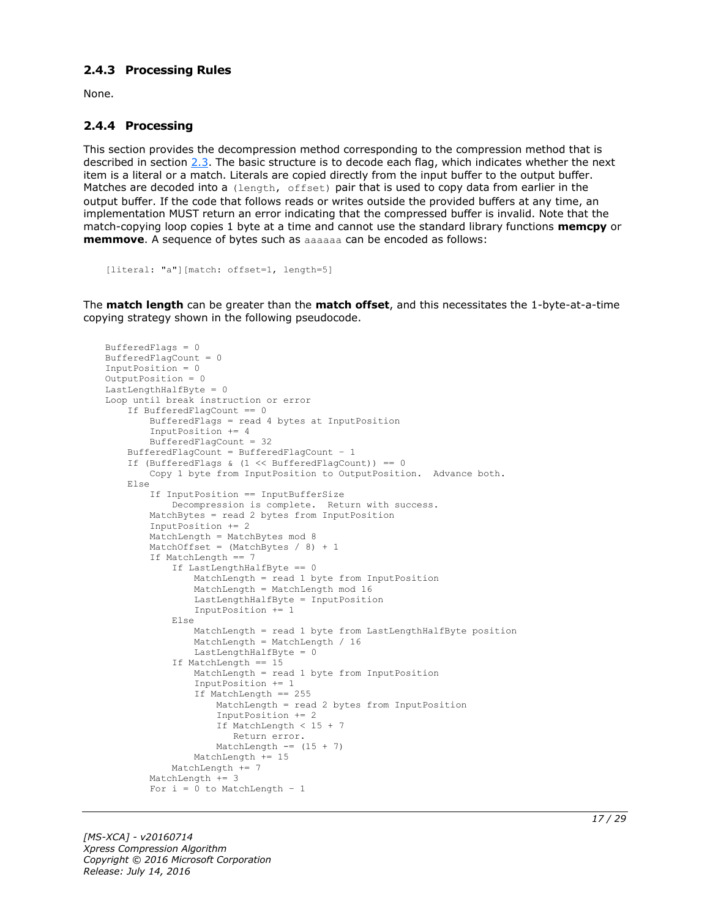#### <span id="page-16-0"></span>**2.4.3 Processing Rules**

None.

#### <span id="page-16-1"></span>**2.4.4 Processing**

This section provides the decompression method corresponding to the compression method that is described in section [2.3.](#page-14-0) The basic structure is to decode each flag, which indicates whether the next item is a literal or a match. Literals are copied directly from the input buffer to the output buffer. Matches are decoded into a (length, offset) pair that is used to copy data from earlier in the output buffer. If the code that follows reads or writes outside the provided buffers at any time, an implementation MUST return an error indicating that the compressed buffer is invalid. Note that the match-copying loop copies 1 byte at a time and cannot use the standard library functions **memcpy** or **memmove**. A sequence of bytes such as aaaaaa can be encoded as follows:

```
[literal: "a"][match: offset=1, length=5]
```
The **match length** can be greater than the **match offset**, and this necessitates the 1-byte-at-a-time copying strategy shown in the following pseudocode.

```
BufferedFlags = 0
BufferedFlagCount = 0
InputPosition = 0
OutputPosition = 0
LastLengthHalfByte = 0Loop until break instruction or error
     If BufferedFlagCount == 0
         BufferedFlags = read 4 bytes at InputPosition
         InputPosition += 4
         BufferedFlagCount = 32
     BufferedFlagCount = BufferedFlagCount – 1
    If (BufferedFlags & (1 \leq \text{BufferedFlagCount})) == 0
         Copy 1 byte from InputPosition to OutputPosition. Advance both.
     Else
         If InputPosition == InputBufferSize
             Decompression is complete. Return with success.
         MatchBytes = read 2 bytes from InputPosition
         InputPosition += 2
        MatchLength = MatchBytes mod 8
        MatchOffset = (MatchBytes / 8) + 1 If MatchLength == 7
             If LastLengthHalfByte == 0
                 MatchLength = read 1 byte from InputPosition
                 MatchLength = MatchLength mod 16
                LastLengthHalfByte = InputPosition
                 InputPosition += 1
             Else
                 MatchLength = read 1 byte from LastLengthHalfByte position
                 MatchLength = MatchLength / 16
                LastLengthHalfByte = 0
             If MatchLength == 15
                 MatchLength = read 1 byte from InputPosition
                 InputPosition += 1
                If MatchLength == 255
                     MatchLength = read 2 bytes from InputPosition
                    InputPosition += 2
                    If MatchLength < 15 + 7
                       Return error.
                    MatchLength == (15 + 7)
                MathLength += 15 MatchLength += 7
        MatchLength += 3
        For i = 0 to MatchLength - 1
```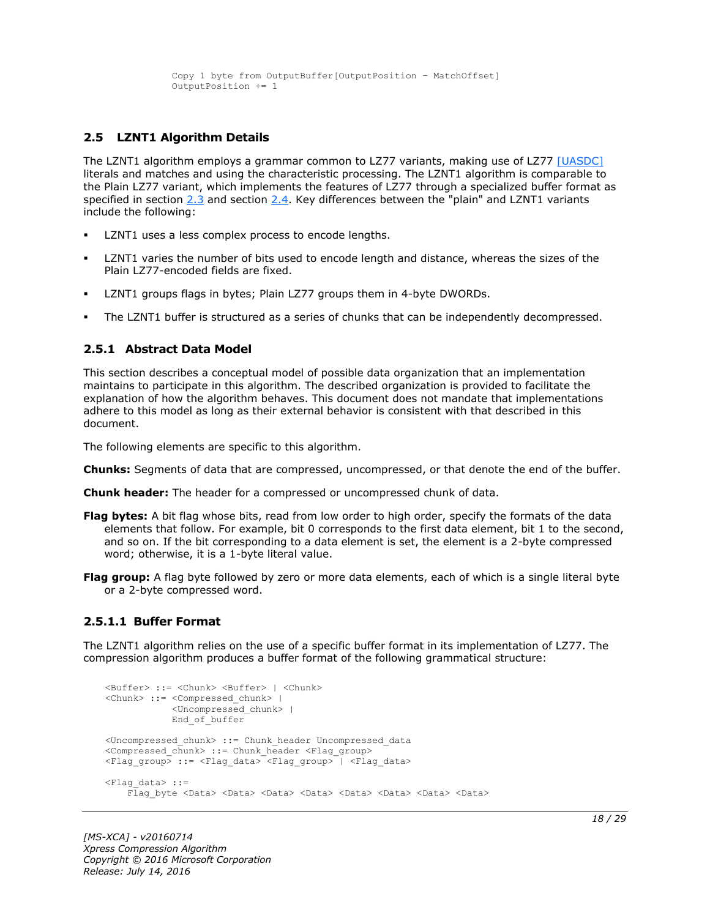```
 Copy 1 byte from OutputBuffer[OutputPosition – MatchOffset]
 OutputPosition += 1
```
### <span id="page-17-0"></span>**2.5 LZNT1 Algorithm Details**

The LZNT1 algorithm employs a grammar common to LZ77 variants, making use of LZ77 [\[UASDC\]](http://go.microsoft.com/fwlink/?LinkId=90549) literals and matches and using the characteristic processing. The LZNT1 algorithm is comparable to the Plain LZ77 variant, which implements the features of LZ77 through a specialized buffer format as specified in section [2.3](#page-14-0) and section [2.4.](#page-15-0) Key differences between the "plain" and LZNT1 variants include the following:

- LZNT1 uses a less complex process to encode lengths.
- LZNT1 varies the number of bits used to encode length and distance, whereas the sizes of the Plain LZ77-encoded fields are fixed.
- LZNT1 groups flags in bytes; Plain LZ77 groups them in 4-byte DWORDs.
- The LZNT1 buffer is structured as a series of chunks that can be independently decompressed.

#### <span id="page-17-1"></span>**2.5.1 Abstract Data Model**

This section describes a conceptual model of possible data organization that an implementation maintains to participate in this algorithm. The described organization is provided to facilitate the explanation of how the algorithm behaves. This document does not mandate that implementations adhere to this model as long as their external behavior is consistent with that described in this document.

The following elements are specific to this algorithm.

- **Chunks:** Segments of data that are compressed, uncompressed, or that denote the end of the buffer.
- **Chunk header:** The header for a compressed or uncompressed chunk of data.
- **Flag bytes:** A bit flag whose bits, read from low order to high order, specify the formats of the data elements that follow. For example, bit 0 corresponds to the first data element, bit 1 to the second, and so on. If the bit corresponding to a data element is set, the element is a 2-byte compressed word; otherwise, it is a 1-byte literal value.
- **Flag group:** A flag byte followed by zero or more data elements, each of which is a single literal byte or a 2-byte compressed word.

#### <span id="page-17-2"></span>**2.5.1.1 Buffer Format**

The LZNT1 algorithm relies on the use of a specific buffer format in its implementation of LZ77. The compression algorithm produces a buffer format of the following grammatical structure:

```
<Buffer> ::= <Chunk> <Buffer> | <Chunk>
<Chunk> ::= <Compressed_chunk> | 
             <Uncompressed_chunk> |
             End_of_buffer
<Uncompressed_chunk> ::= Chunk_header Uncompressed_data
<Compressed chunk> ::= Chunk header <Flag_group>
<Flag_group> ::= <Flag_data> <Flag_group> | <Flag_data>
<Flag_data> ::=
    Flag byte <Data> <Data> <Data> <Data> <Data> <Data> <Data> <Data> <Data> <Data>
```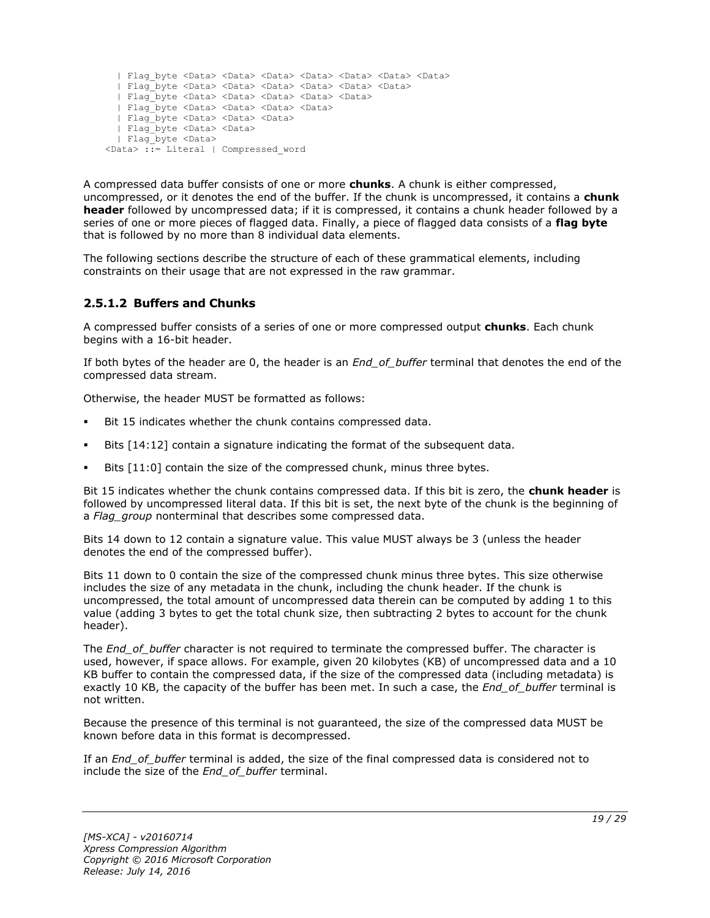```
 | Flag_byte <Data> <Data> <Data> <Data> <Data> <Data> <Data>
   | Flag_byte <Data> <Data> <Data> <Data> <Data> <Data>
   | Flag_byte <Data> <Data> <Data> <Data> <Data>
   | Flag_byte <Data> <Data> <Data> <Data>
   | Flag_byte <Data> <Data> <Data> 
   | Flag_byte <Data> <Data>
   | Flag_byte <Data> 
<Data> ::= Literal | Compressed_word
```
A compressed data buffer consists of one or more **chunks**. A chunk is either compressed, uncompressed, or it denotes the end of the buffer. If the chunk is uncompressed, it contains a **chunk header** followed by uncompressed data; if it is compressed, it contains a chunk header followed by a series of one or more pieces of flagged data. Finally, a piece of flagged data consists of a **flag byte** that is followed by no more than 8 individual data elements.

The following sections describe the structure of each of these grammatical elements, including constraints on their usage that are not expressed in the raw grammar.

## <span id="page-18-0"></span>**2.5.1.2 Buffers and Chunks**

A compressed buffer consists of a series of one or more compressed output **chunks**. Each chunk begins with a 16-bit header.

If both bytes of the header are 0, the header is an *End\_of\_buffer* terminal that denotes the end of the compressed data stream.

Otherwise, the header MUST be formatted as follows:

- Bit 15 indicates whether the chunk contains compressed data.
- Bits [14:12] contain a signature indicating the format of the subsequent data.
- Bits [11:0] contain the size of the compressed chunk, minus three bytes.

Bit 15 indicates whether the chunk contains compressed data. If this bit is zero, the **chunk header** is followed by uncompressed literal data. If this bit is set, the next byte of the chunk is the beginning of a *Flag\_group* nonterminal that describes some compressed data.

Bits 14 down to 12 contain a signature value. This value MUST always be 3 (unless the header denotes the end of the compressed buffer).

Bits 11 down to 0 contain the size of the compressed chunk minus three bytes. This size otherwise includes the size of any metadata in the chunk, including the chunk header. If the chunk is uncompressed, the total amount of uncompressed data therein can be computed by adding 1 to this value (adding 3 bytes to get the total chunk size, then subtracting 2 bytes to account for the chunk header).

The *End\_of\_buffer* character is not required to terminate the compressed buffer. The character is used, however, if space allows. For example, given 20 kilobytes (KB) of uncompressed data and a 10 KB buffer to contain the compressed data, if the size of the compressed data (including metadata) is exactly 10 KB, the capacity of the buffer has been met. In such a case, the *End\_of\_buffer* terminal is not written.

Because the presence of this terminal is not guaranteed, the size of the compressed data MUST be known before data in this format is decompressed.

If an *End\_of\_buffer* terminal is added, the size of the final compressed data is considered not to include the size of the *End\_of\_buffer* terminal.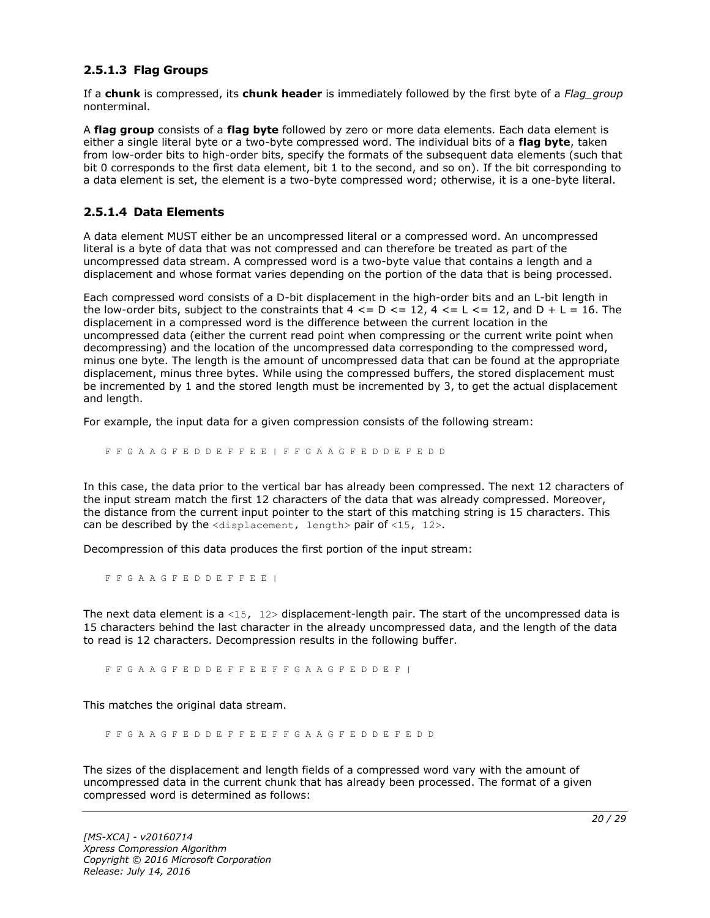#### <span id="page-19-0"></span>**2.5.1.3 Flag Groups**

If a **chunk** is compressed, its **chunk header** is immediately followed by the first byte of a *Flag\_group* nonterminal.

A **flag group** consists of a **flag byte** followed by zero or more data elements. Each data element is either a single literal byte or a two-byte compressed word. The individual bits of a **flag byte**, taken from low-order bits to high-order bits, specify the formats of the subsequent data elements (such that bit 0 corresponds to the first data element, bit 1 to the second, and so on). If the bit corresponding to a data element is set, the element is a two-byte compressed word; otherwise, it is a one-byte literal.

#### <span id="page-19-1"></span>**2.5.1.4 Data Elements**

A data element MUST either be an uncompressed literal or a compressed word. An uncompressed literal is a byte of data that was not compressed and can therefore be treated as part of the uncompressed data stream. A compressed word is a two-byte value that contains a length and a displacement and whose format varies depending on the portion of the data that is being processed.

Each compressed word consists of a D-bit displacement in the high-order bits and an L-bit length in the low-order bits, subject to the constraints that  $4 \leq D \leq 12$ ,  $4 \leq L \leq 12$ , and  $D + L = 16$ . The displacement in a compressed word is the difference between the current location in the uncompressed data (either the current read point when compressing or the current write point when decompressing) and the location of the uncompressed data corresponding to the compressed word, minus one byte. The length is the amount of uncompressed data that can be found at the appropriate displacement, minus three bytes. While using the compressed buffers, the stored displacement must be incremented by 1 and the stored length must be incremented by 3, to get the actual displacement and length.

For example, the input data for a given compression consists of the following stream:

F F G A A G F E D D E F F E E | F F G A A G F E D D E F E D D

In this case, the data prior to the vertical bar has already been compressed. The next 12 characters of the input stream match the first 12 characters of the data that was already compressed. Moreover, the distance from the current input pointer to the start of this matching string is 15 characters. This can be described by the  $\langle$ displacement, length> pair of  $\langle$ 15, 12>.

Decompression of this data produces the first portion of the input stream:

F F G A A G F E D D E F F E E |

The next data element is a <15,  $12$  bisplacement-length pair. The start of the uncompressed data is 15 characters behind the last character in the already uncompressed data, and the length of the data to read is 12 characters. Decompression results in the following buffer.

F F G A A G F E D D E F F E E F F G A A G F E D D E F |

This matches the original data stream.

F F G A A G F E D D E F F E E F F G A A G F E D D E F E D D

The sizes of the displacement and length fields of a compressed word vary with the amount of uncompressed data in the current chunk that has already been processed. The format of a given compressed word is determined as follows: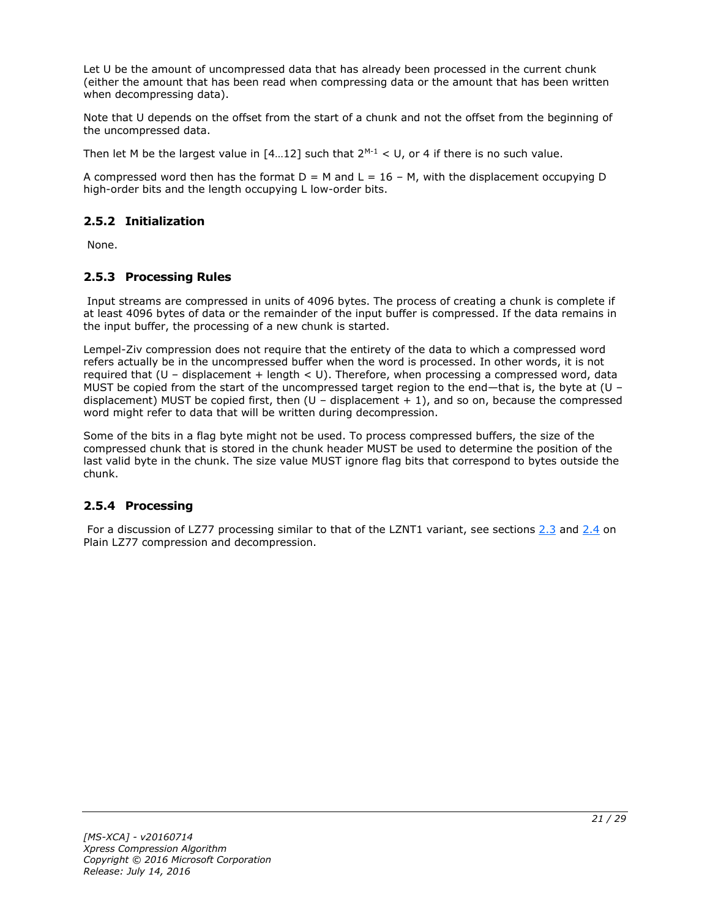Let U be the amount of uncompressed data that has already been processed in the current chunk (either the amount that has been read when compressing data or the amount that has been written when decompressing data).

Note that U depends on the offset from the start of a chunk and not the offset from the beginning of the uncompressed data.

Then let M be the largest value in  $[4...12]$  such that  $2^{M-1} < U$ , or 4 if there is no such value.

A compressed word then has the format  $D = M$  and  $L = 16 - M$ , with the displacement occupying D high-order bits and the length occupying L low-order bits.

## <span id="page-20-0"></span>**2.5.2 Initialization**

None.

## <span id="page-20-1"></span>**2.5.3 Processing Rules**

Input streams are compressed in units of 4096 bytes. The process of creating a chunk is complete if at least 4096 bytes of data or the remainder of the input buffer is compressed. If the data remains in the input buffer, the processing of a new chunk is started.

Lempel-Ziv compression does not require that the entirety of the data to which a compressed word refers actually be in the uncompressed buffer when the word is processed. In other words, it is not required that  $(U -$  displacement + length  $< U$ ). Therefore, when processing a compressed word, data MUST be copied from the start of the uncompressed target region to the end—that is, the byte at (U – displacement) MUST be copied first, then  $(U -$  displacement  $+ 1)$ , and so on, because the compressed word might refer to data that will be written during decompression.

Some of the bits in a flag byte might not be used. To process compressed buffers, the size of the compressed chunk that is stored in the chunk header MUST be used to determine the position of the last valid byte in the chunk. The size value MUST ignore flag bits that correspond to bytes outside the chunk.

## <span id="page-20-2"></span>**2.5.4 Processing**

For a discussion of LZ77 processing similar to that of the LZNT1 variant, see sections [2.3](#page-14-0) and [2.4](#page-15-0) on Plain LZ77 compression and decompression.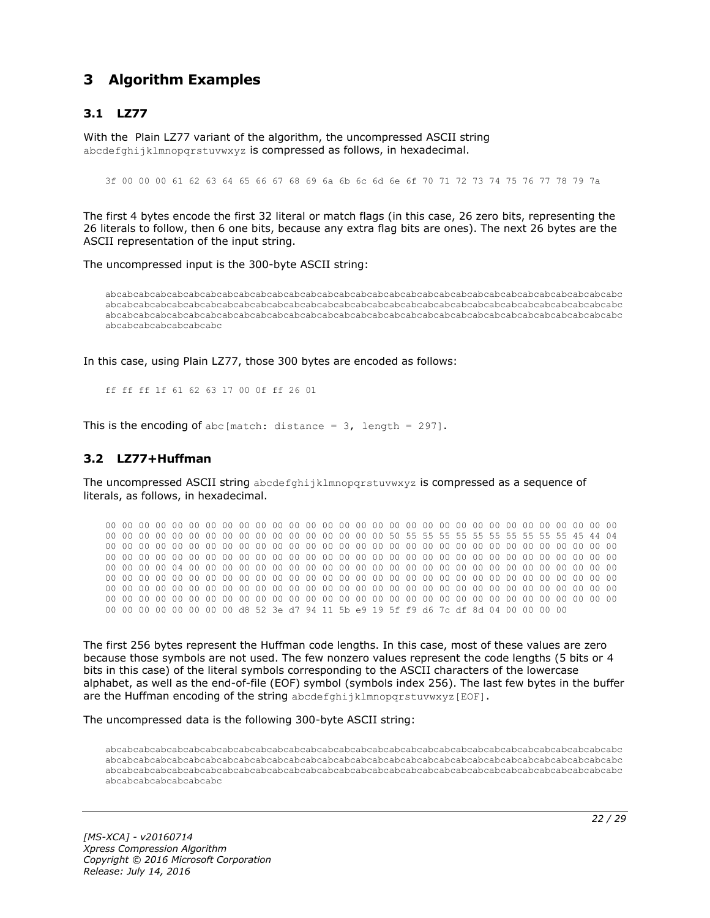## <span id="page-21-0"></span>**3 Algorithm Examples**

## <span id="page-21-1"></span>**3.1 LZ77**

With the Plain LZ77 variant of the algorithm, the uncompressed ASCII string abcdefghijklmnopgrstuvwxyz is compressed as follows, in hexadecimal.

3f 00 00 00 61 62 63 64 65 66 67 68 69 6a 6b 6c 6d 6e 6f 70 71 72 73 74 75 76 77 78 79 7a

The first 4 bytes encode the first 32 literal or match flags (in this case, 26 zero bits, representing the 26 literals to follow, then 6 one bits, because any extra flag bits are ones). The next 26 bytes are the ASCII representation of the input string.

The uncompressed input is the 300-byte ASCII string:

abcabcabcabcabcabcabcabcabcabcabcabcabcabcabcabcabcabcabcabcabcabcabcabcabcabcabcabcabcabcabc abcabcabcabcabcabcabcabcabcabcabcabcabcabcabcabcabcabcabcabcabcabcabcabcabcabcabcabcabcabcabc abcabcabcabcabcabcabcabcabcabcabcabcabcabcabcabcabcabcabcabcabcabcabcabcabcabcabcabcabcabcabc abcabcabcabcabcabcabc

In this case, using Plain LZ77, those 300 bytes are encoded as follows:

ff ff ff 1f 61 62 63 17 00 0f ff 26 01

This is the encoding of abc [match: distance =  $3$ , length = 297].

#### <span id="page-21-2"></span>**3.2 LZ77+Huffman**

The uncompressed ASCII string abcdefghijklmnopqrstuvwxyz is compressed as a sequence of literals, as follows, in hexadecimal.

00 00 00 00 00 00 00 00 00 00 00 00 00 00 00 00 00 00 00 00 00 00 00 00 00 00 00 00 00 00 00 00 00 00 00 00 00 00 00 00 00 00 00 00 00 00 00 00 50 55 55 55 55 55 55 55 55 55 55 45 44 04 00 00 00 00 00 00 00 00 00 00 00 00 00 00 00 00 00 00 00 00 00 00 00 00 00 00 00 00 00 00 00 00 00 00 00 00 00 00 00 00 00 00 00 00 00 00 00 00 00 00 00 00 00 00 00 00 00 00 00 00 00 00 00 00 00 00 04 00 00 00 00 00 00 00 00 00 00 00 00 00 00 00 00 00 00 00 00 00 00 00 00 00 00 00 00 00 00 00 00 00 00 00 00 00 00 00 00 00 00 00 00 00 00 00 00 00 00 00 00 00 00 00 00 00 00 00 00 00 00 00 00 00 00 00 00 00 00 00 00 00 00 00 00 00 00 00 00 00 00 00 00 00 00 00 00 00 00 00 00 00 00 00 00 00 00 00 00 00 00 00 00 00 00 00 00 00 00 00 00 00 00 00 00 00 00 00 00 00 00 00 00 00 00 00 d8 52 3e d7 94 11 5b e9 19 5f f9 d6 7c df 8d 04 00 00 00 00

The first 256 bytes represent the Huffman code lengths. In this case, most of these values are zero because those symbols are not used. The few nonzero values represent the code lengths (5 bits or 4 bits in this case) of the literal symbols corresponding to the ASCII characters of the lowercase alphabet, as well as the end-of-file (EOF) symbol (symbols index 256). The last few bytes in the buffer are the Huffman encoding of the string abcdefghijklmnopgrstuvwxyz[EOF].

The uncompressed data is the following 300-byte ASCII string:

abcabcabcabcabcabcabcabcabcabcabcabcabcabcabcabcabcabcabcabcabcabcabcabcabcabcabcabcabcabcabc abcabcabcabcabcabcabcabcabcabcabcabcabcabcabcabcabcabcabcabcabcabcabcabcabcabcabcabcabcabcabc abcabcabcabcabcabcabcabcabcabcabcabcabcabcabcabcabcabcabcabcabcabcabcabcabcabcabcabcabcabcabc abcabcabcabcabcabcabc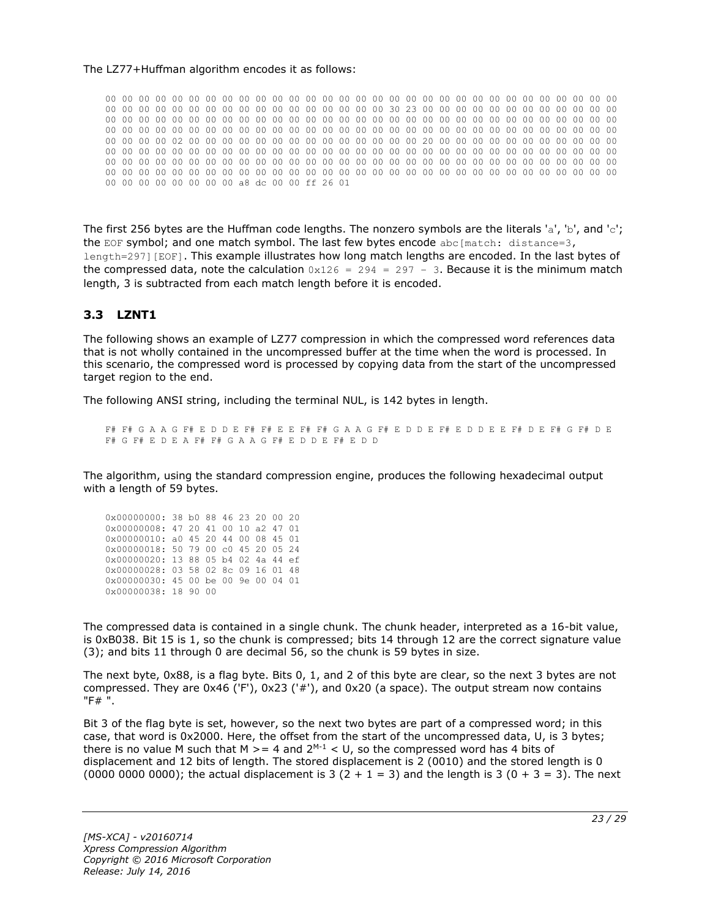#### The LZ77+Huffman algorithm encodes it as follows:

00 00 00 00 00 00 00 00 00 00 00 00 00 00 00 00 00 00 00 00 00 00 00 00 00 00 00 00 00 00 00 00 00 00 00 00 00 00 00 00 00 00 00 00 00 00 00 00 30 23 00 00 00 00 00 00 00 00 00 00 00 00 00 00 00 00 00 00 00 00 00 00 00 00 00 00 00 00 00 00 00 00 00 00 00 00 00 00 00 00 00 00 00 00 00 00 00 00 00 00 00 00 00 00 00 00 00 00 00 00 00 00 00 00 00 00 00 00 00 00 00 00 00 00 00 00 00 00 02 00 00 00 00 00 00 00 00 00 00 00 00 00 00 20 00 00 00 00 00 00 00 00 00 00 00 00 00 00 00 00 00 00 00 00 00 00 00 00 00 00 00 00 00 00 00 00 00 00 00 00 00 00 00 00 00 00 00 00 00 00 00 00 00 00 00 00 00 00 00 00 00 00 00 00 00 00 00 00 00 00 00 00 00 00 00 00 00 00 00 00 00 00 00 00 00 00 00 00 00 00 00 00 00 00 00 00 00 00 00 00 00 00 00 00 00 00 00 00 00 00 00 00 00 00 00 00 a8 dc 00 00 ff 26 01

The first 256 bytes are the Huffman code lengths. The nonzero symbols are the literals 'a', 'b', and 'c'; the EOF symbol; and one match symbol. The last few bytes encode abc[match: distance=3, length=297][EOF]. This example illustrates how long match lengths are encoded. In the last bytes of the compressed data, note the calculation  $0x126 = 294 = 297 - 3$ . Because it is the minimum match length, 3 is subtracted from each match length before it is encoded.

#### <span id="page-22-0"></span>**3.3 LZNT1**

The following shows an example of LZ77 compression in which the compressed word references data that is not wholly contained in the uncompressed buffer at the time when the word is processed. In this scenario, the compressed word is processed by copying data from the start of the uncompressed target region to the end.

The following ANSI string, including the terminal NUL, is 142 bytes in length.

F# F# G A A G F# E D D E F# F# E E F# F# G A A G F# E D D E F# E D D E E F# D E F# G F# D E F# G F# E D E A F# F# G A A G F# E D D E F# E D D

The algorithm, using the standard compression engine, produces the following hexadecimal output with a length of 59 bytes.

| 0x00000000: 38 b0 88 46 23 20 00 20 |  |  |  |  |
|-------------------------------------|--|--|--|--|
| 0x00000008: 47 20 41 00 10 a2 47 01 |  |  |  |  |
| 0x00000010: a0 45 20 44 00 08 45 01 |  |  |  |  |
| 0x00000018: 50 79 00 c0 45 20 05 24 |  |  |  |  |
| 0x00000020: 13 88 05 b4 02 4a 44 ef |  |  |  |  |
| 0x00000028: 03 58 02 8c 09 16 01 48 |  |  |  |  |
| 0x00000030: 45 00 be 00 9e 00 04 01 |  |  |  |  |
| 0x00000038: 18 90 00                |  |  |  |  |

The compressed data is contained in a single chunk. The chunk header, interpreted as a 16-bit value, is 0xB038. Bit 15 is 1, so the chunk is compressed; bits 14 through 12 are the correct signature value (3); and bits 11 through 0 are decimal 56, so the chunk is 59 bytes in size.

The next byte, 0x88, is a flag byte. Bits 0, 1, and 2 of this byte are clear, so the next 3 bytes are not compressed. They are 0x46 ('F'), 0x23 ('#'), and 0x20 (a space). The output stream now contains "F# ".

Bit 3 of the flag byte is set, however, so the next two bytes are part of a compressed word; in this case, that word is 0x2000. Here, the offset from the start of the uncompressed data, U, is 3 bytes; there is no value M such that M  $>= 4$  and  $2^{M-1} < U$ , so the compressed word has 4 bits of displacement and 12 bits of length. The stored displacement is 2 (0010) and the stored length is 0 (0000 0000 0000); the actual displacement is 3 (2 + 1 = 3) and the length is 3 (0 + 3 = 3). The next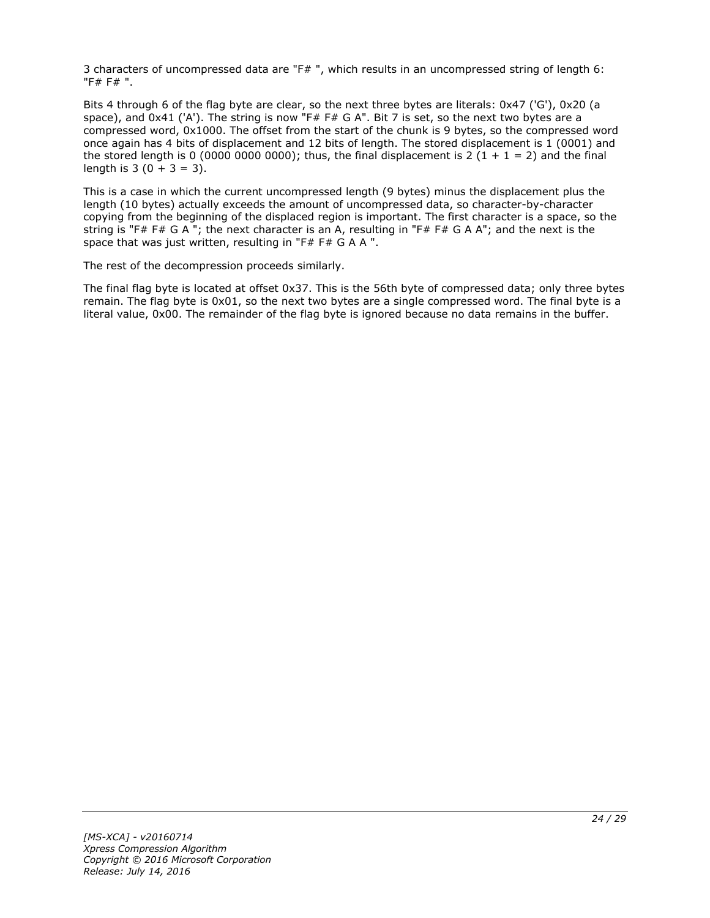3 characters of uncompressed data are "F# ", which results in an uncompressed string of length 6: "F# F# ".

Bits 4 through 6 of the flag byte are clear, so the next three bytes are literals: 0x47 ('G'), 0x20 (a space), and 0x41 ('A'). The string is now "F# F# G A". Bit 7 is set, so the next two bytes are a compressed word, 0x1000. The offset from the start of the chunk is 9 bytes, so the compressed word once again has 4 bits of displacement and 12 bits of length. The stored displacement is 1 (0001) and the stored length is 0 (0000 0000 0000); thus, the final displacement is 2 (1 + 1 = 2) and the final length is  $3(0 + 3 = 3)$ .

This is a case in which the current uncompressed length (9 bytes) minus the displacement plus the length (10 bytes) actually exceeds the amount of uncompressed data, so character-by-character copying from the beginning of the displaced region is important. The first character is a space, so the string is "F# F# G A "; the next character is an A, resulting in "F# F# G A A"; and the next is the space that was just written, resulting in "F# F# G A A ".

The rest of the decompression proceeds similarly.

The final flag byte is located at offset 0x37. This is the 56th byte of compressed data; only three bytes remain. The flag byte is 0x01, so the next two bytes are a single compressed word. The final byte is a literal value, 0x00. The remainder of the flag byte is ignored because no data remains in the buffer.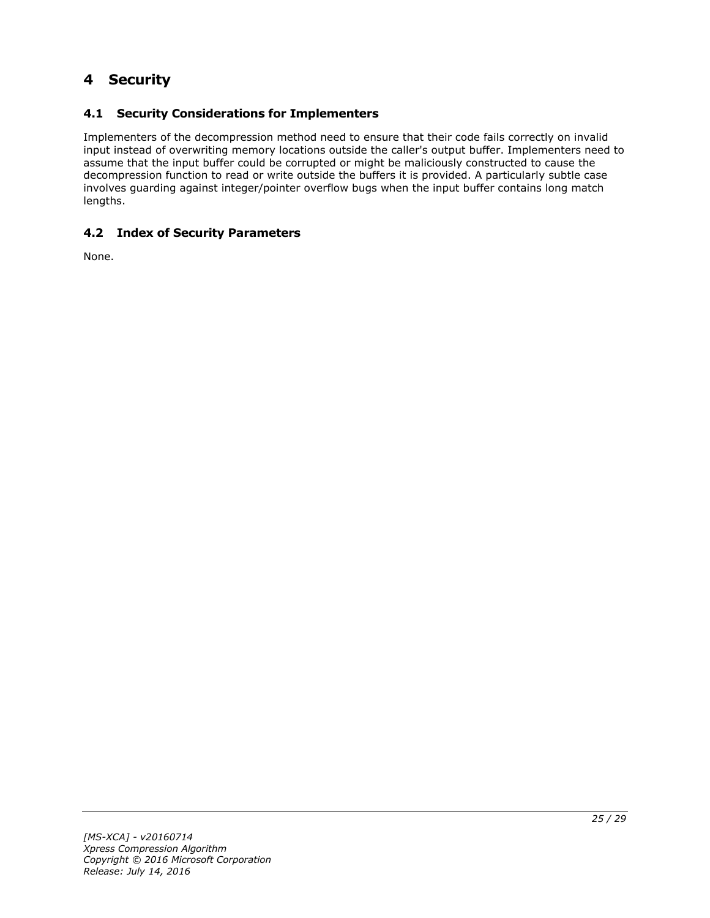## <span id="page-24-0"></span>**4 Security**

## <span id="page-24-1"></span>**4.1 Security Considerations for Implementers**

Implementers of the decompression method need to ensure that their code fails correctly on invalid input instead of overwriting memory locations outside the caller's output buffer. Implementers need to assume that the input buffer could be corrupted or might be maliciously constructed to cause the decompression function to read or write outside the buffers it is provided. A particularly subtle case involves guarding against integer/pointer overflow bugs when the input buffer contains long match lengths.

## <span id="page-24-2"></span>**4.2 Index of Security Parameters**

None.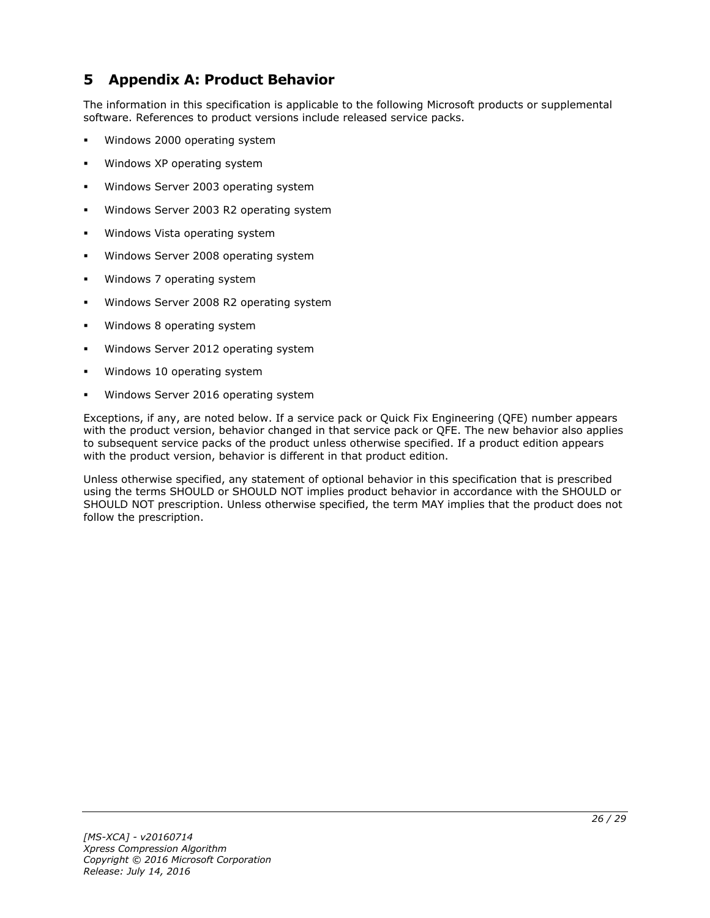## <span id="page-25-0"></span>**5 Appendix A: Product Behavior**

The information in this specification is applicable to the following Microsoft products or supplemental software. References to product versions include released service packs.

- Windows 2000 operating system
- Windows XP operating system
- Windows Server 2003 operating system
- Windows Server 2003 R2 operating system
- Windows Vista operating system
- Windows Server 2008 operating system
- Windows 7 operating system
- Windows Server 2008 R2 operating system
- Windows 8 operating system
- Windows Server 2012 operating system
- Windows 10 operating system
- Windows Server 2016 operating system

Exceptions, if any, are noted below. If a service pack or Quick Fix Engineering (QFE) number appears with the product version, behavior changed in that service pack or QFE. The new behavior also applies to subsequent service packs of the product unless otherwise specified. If a product edition appears with the product version, behavior is different in that product edition.

Unless otherwise specified, any statement of optional behavior in this specification that is prescribed using the terms SHOULD or SHOULD NOT implies product behavior in accordance with the SHOULD or SHOULD NOT prescription. Unless otherwise specified, the term MAY implies that the product does not follow the prescription.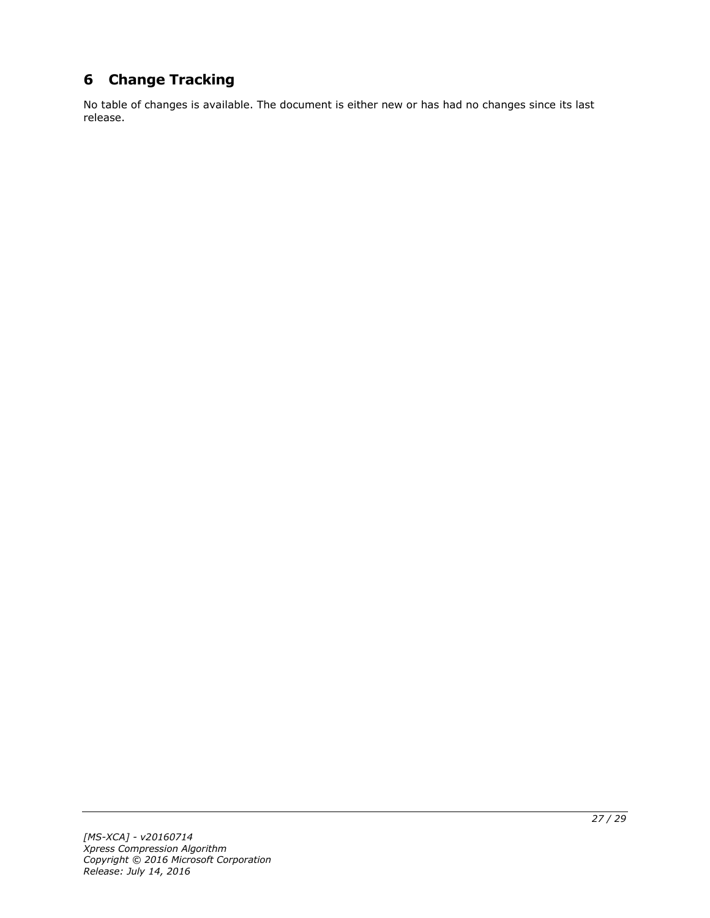# <span id="page-26-0"></span>**6 Change Tracking**

No table of changes is available. The document is either new or has had no changes since its last release.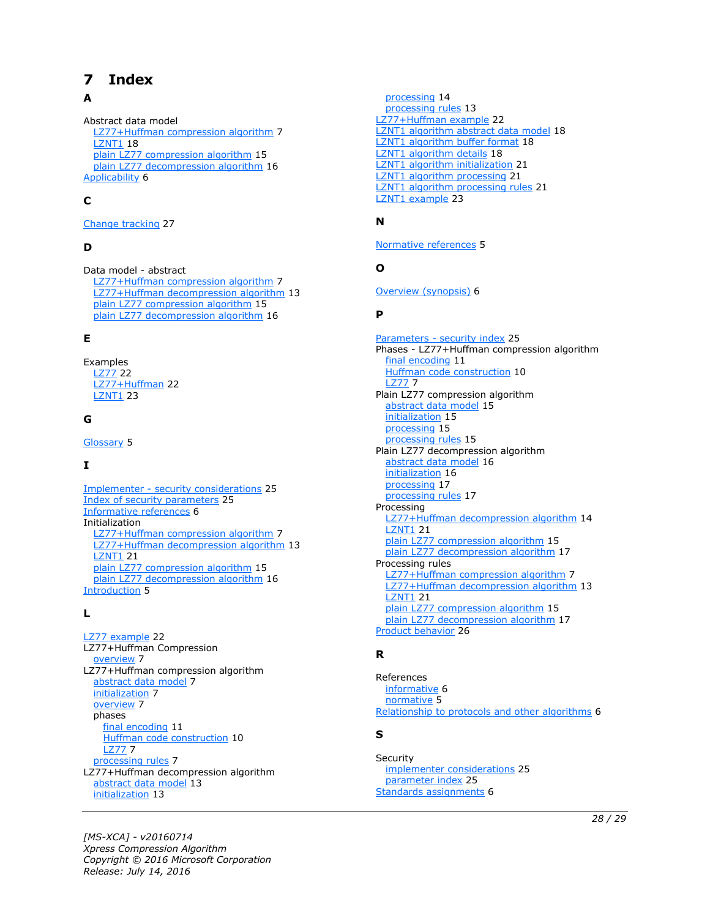# <span id="page-27-0"></span>**7 Index**

## **A**

Abstract data model [LZ77+Huffman compression algorithm](#page-6-2) 7 **[LZNT1](#page-17-1) 18** [plain LZ77 compression algorithm](#page-14-1) 15 [plain LZ77 decompression algorithm](#page-15-1) 16 [Applicability](#page-5-3) 6

## **C**

[Change tracking](#page-26-0) 27

## **D**

Data model - abstract [LZ77+Huffman compression algorithm](#page-6-2) 7 [LZ77+Huffman decompression algorithm](#page-12-1) 13 [plain LZ77 compression algorithm](#page-14-1) 15 [plain LZ77 decompression algorithm](#page-15-1) 16

#### **E**

Examples [LZ77](#page-21-1) 22 [LZ77+Huffman](#page-21-2) 22 [LZNT1](#page-22-0) 23

#### **G**

[Glossary](#page-4-1) 5

## **I**

Implementer - [security considerations](#page-24-1) 25 [Index of security parameters](#page-24-2) 25 [Informative references](#page-5-0) 6 Initialization [LZ77+Huffman compression algorithm](#page-6-3) 7 [LZ77+Huffman decompression algorithm](#page-12-2) 13 [LZNT1](#page-20-0) 21 [plain LZ77 compression algorithm](#page-14-2) 15 [plain LZ77 decompression algorithm](#page-15-2) 16 [Introduction](#page-4-0) 5

#### **L**

[LZ77 example](#page-21-1) 22 LZ77+Huffman Compression [overview](#page-6-1) 7 LZ77+Huffman compression algorithm [abstract data model](#page-6-2) 7 [initialization](#page-6-3) 7 [overview](#page-6-1) 7 phases [final encoding](#page-10-0) 11 [Huffman code construction](#page-9-0) 10 [LZ77](#page-6-6) 7 [processing rules](#page-6-4) 7 LZ77+Huffman decompression algorithm [abstract data model](#page-12-1) 13 [initialization](#page-12-2) 13

 [processing](#page-13-0) 14 [processing rules](#page-12-3) 13 [LZ77+Huffman example](#page-21-2) 22 [LZNT1 algorithm abstract data model](#page-17-1) 18 [LZNT1 algorithm buffer format](#page-17-2) 18 [LZNT1 algorithm details](#page-17-0) 18 [LZNT1 algorithm initialization](#page-20-0) 21 [LZNT1 algorithm processing](#page-20-2) 21 [LZNT1 algorithm processing rules](#page-20-1) 21 [LZNT1 example](#page-22-0) 23

#### **N**

[Normative references](#page-4-3) 5

#### **O**

[Overview \(synopsis\)](#page-5-1) 6

#### **P**

Parameters - [security index](#page-24-2) 25 Phases - LZ77+Huffman compression algorithm [final encoding](#page-10-0) 11 [Huffman code construction](#page-9-0) 10 [LZ77](#page-6-6) 7 Plain LZ77 compression algorithm [abstract data model](#page-14-1) 15 [initialization](#page-14-2) 15 [processing](#page-14-4) 15 [processing rules](#page-14-3) 15 Plain LZ77 decompression algorithm [abstract data model](#page-15-1) 16 [initialization](#page-15-2) 16 [processing](#page-16-1) 17 [processing rules](#page-16-0) 17 Processing [LZ77+Huffman decompression algorithm](#page-13-0) 14 **[LZNT1](#page-20-2) 21** [plain LZ77 compression algorithm](#page-14-4) 15 [plain LZ77 decompression algorithm](#page-16-1) 17 Processing rules [LZ77+Huffman compression algorithm](#page-6-4) 7 [LZ77+Huffman decompression algorithm](#page-12-3) 13 [LZNT1](#page-20-1) 21 [plain LZ77 compression algorithm](#page-14-3) 15 [plain LZ77 decompression algorithm](#page-16-0) 17 [Product behavior](#page-25-0) 26

#### **R**

References [informative](#page-5-0) 6 [normative](#page-4-3) 5 [Relationship to protocols and other algorithms](#page-5-2) 6

#### **S**

**Security**  [implementer considerations](#page-24-1) 25 [parameter index](#page-24-2) 25 [Standards assignments](#page-5-4) 6

*[MS-XCA] - v20160714 Xpress Compression Algorithm Copyright © 2016 Microsoft Corporation Release: July 14, 2016*